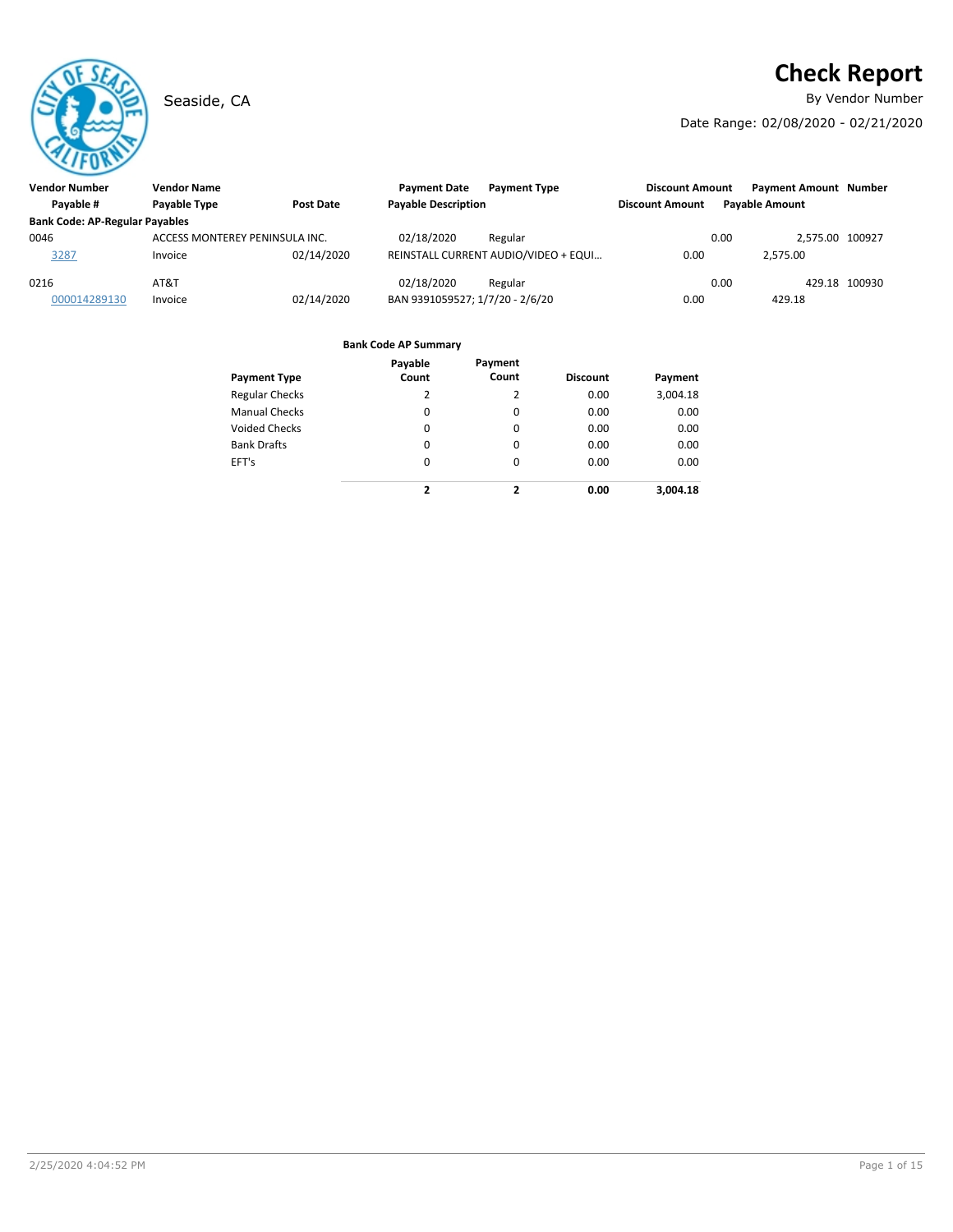# **Check Report**

Seaside, CA **By Vendor Number** 

Date Range: 02/08/2020 - 02/21/2020

| <b>Vendor Number</b>                  | <b>Vendor Name</b>             |            | <b>Payment Date</b>             | <b>Payment Type</b>                  | <b>Discount Amount</b> | <b>Payment Amount Number</b> |               |
|---------------------------------------|--------------------------------|------------|---------------------------------|--------------------------------------|------------------------|------------------------------|---------------|
| Payable #                             | Payable Type                   | Post Date  | <b>Payable Description</b>      |                                      | <b>Discount Amount</b> | <b>Pavable Amount</b>        |               |
| <b>Bank Code: AP-Regular Payables</b> |                                |            |                                 |                                      |                        |                              |               |
| 0046                                  | ACCESS MONTEREY PENINSULA INC. |            | 02/18/2020                      | Regular                              |                        | 0.00<br>2.575.00 100927      |               |
| 3287                                  | Invoice                        | 02/14/2020 |                                 | REINSTALL CURRENT AUDIO/VIDEO + EQUI | 0.00                   | 2.575.00                     |               |
| 0216                                  | AT&T                           |            | 02/18/2020                      | Regular                              |                        | 0.00                         | 429.18 100930 |
| 000014289130                          | Invoice                        | 02/14/2020 | BAN 9391059527; 1/7/20 - 2/6/20 |                                      | 0.00                   | 429.18                       |               |

| <b>Payment Type</b>   | Payable<br>Count | Payment<br>Count | <b>Discount</b> | Payment  |
|-----------------------|------------------|------------------|-----------------|----------|
| <b>Regular Checks</b> | 2                | 2                | 0.00            | 3,004.18 |
| <b>Manual Checks</b>  | 0                | 0                | 0.00            | 0.00     |
| <b>Voided Checks</b>  | 0                | 0                | 0.00            | 0.00     |
| <b>Bank Drafts</b>    | 0                | 0                | 0.00            | 0.00     |
| EFT's                 | 0                | 0                | 0.00            | 0.00     |
|                       | $\overline{2}$   | 2                | 0.00            | 3.004.18 |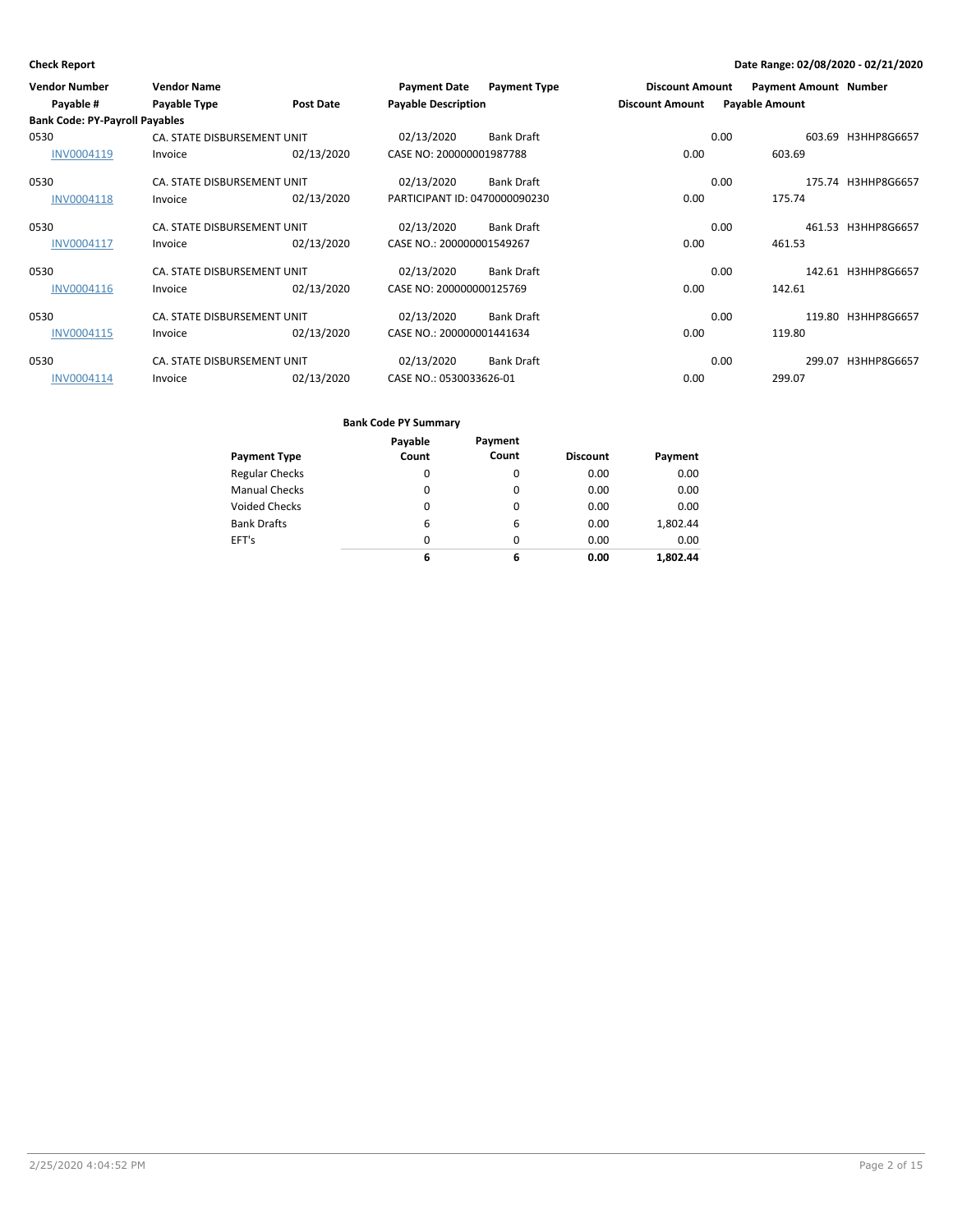| <b>Vendor Number</b>                  | <b>Vendor Name</b>          |                  | <b>Payment Date</b>           | <b>Payment Type</b> | <b>Discount Amount</b> |      | <b>Payment Amount Number</b> |                    |
|---------------------------------------|-----------------------------|------------------|-------------------------------|---------------------|------------------------|------|------------------------------|--------------------|
| Payable #                             | Payable Type                | <b>Post Date</b> | <b>Payable Description</b>    |                     | <b>Discount Amount</b> |      | <b>Payable Amount</b>        |                    |
| <b>Bank Code: PY-Payroll Payables</b> |                             |                  |                               |                     |                        |      |                              |                    |
| 0530                                  | CA. STATE DISBURSEMENT UNIT |                  | 02/13/2020                    | <b>Bank Draft</b>   |                        | 0.00 |                              | 603.69 H3HHP8G6657 |
| INV0004119                            | Invoice                     | 02/13/2020       | CASE NO: 200000001987788      |                     | 0.00                   |      | 603.69                       |                    |
| 0530                                  | CA. STATE DISBURSEMENT UNIT |                  | 02/13/2020                    | <b>Bank Draft</b>   |                        | 0.00 |                              | 175.74 H3HHP8G6657 |
| INV0004118                            | Invoice                     | 02/13/2020       | PARTICIPANT ID: 0470000090230 |                     | 0.00                   |      | 175.74                       |                    |
| 0530                                  | CA. STATE DISBURSEMENT UNIT |                  | 02/13/2020                    | <b>Bank Draft</b>   |                        | 0.00 |                              | 461.53 H3HHP8G6657 |
| INV0004117                            | Invoice                     | 02/13/2020       | CASE NO.: 200000001549267     |                     | 0.00                   |      | 461.53                       |                    |
| 0530                                  | CA. STATE DISBURSEMENT UNIT |                  | 02/13/2020                    | <b>Bank Draft</b>   |                        | 0.00 |                              | 142.61 H3HHP8G6657 |
| INV0004116                            | Invoice                     | 02/13/2020       | CASE NO: 200000000125769      |                     | 0.00                   |      | 142.61                       |                    |
| 0530                                  | CA. STATE DISBURSEMENT UNIT |                  | 02/13/2020                    | <b>Bank Draft</b>   |                        | 0.00 |                              | 119.80 H3HHP8G6657 |
| INV0004115                            | Invoice                     | 02/13/2020       | CASE NO.: 200000001441634     |                     | 0.00                   |      | 119.80                       |                    |
| 0530                                  | CA. STATE DISBURSEMENT UNIT |                  | 02/13/2020                    | <b>Bank Draft</b>   |                        | 0.00 |                              | 299.07 H3HHP8G6657 |
| INV0004114                            | Invoice                     | 02/13/2020       | CASE NO.: 0530033626-01       |                     | 0.00                   |      | 299.07                       |                    |

|                       | Payable | Payment |                 |          |
|-----------------------|---------|---------|-----------------|----------|
| <b>Payment Type</b>   | Count   | Count   | <b>Discount</b> | Payment  |
| <b>Regular Checks</b> | 0       | 0       | 0.00            | 0.00     |
| <b>Manual Checks</b>  | 0       | 0       | 0.00            | 0.00     |
| <b>Voided Checks</b>  | 0       | 0       | 0.00            | 0.00     |
| <b>Bank Drafts</b>    | 6       | 6       | 0.00            | 1.802.44 |
| EFT's                 | 0       | 0       | 0.00            | 0.00     |
|                       | 6       | 6       | 0.00            | 1.802.44 |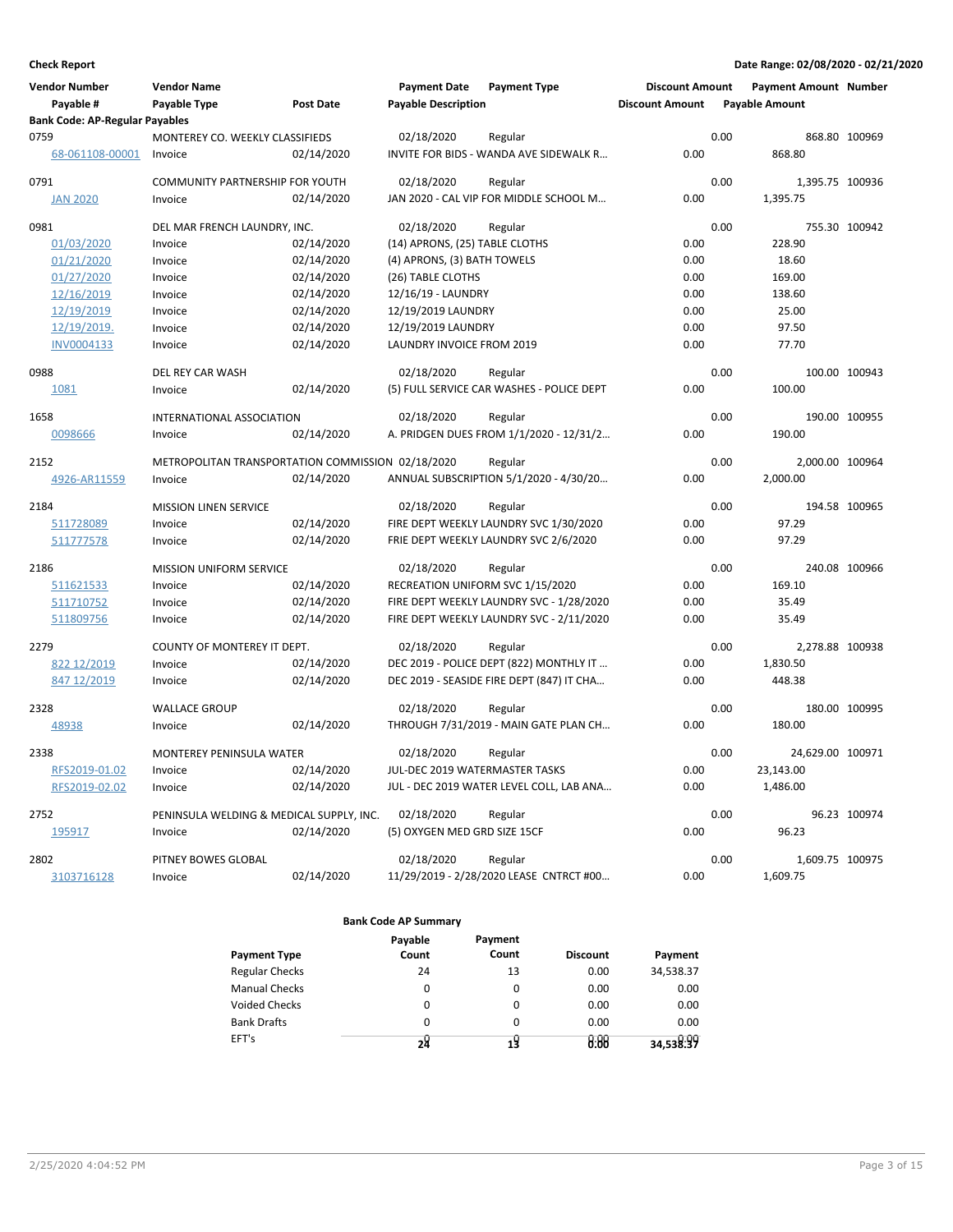| <b>Bank Code: AP-Regular Payables</b><br>MONTEREY CO. WEEKLY CLASSIFIEDS<br>02/18/2020<br>0.00<br>868.80 100969<br>Regular<br>0.00<br>868.80<br>68-061108-00001<br>02/14/2020<br>INVITE FOR BIDS - WANDA AVE SIDEWALK R<br>Invoice<br><b>COMMUNITY PARTNERSHIP FOR YOUTH</b><br>02/18/2020<br>0.00<br>1,395.75 100936<br>Regular<br>0.00<br>JAN 2020 - CAL VIP FOR MIDDLE SCHOOL M<br><b>JAN 2020</b><br>Invoice<br>02/14/2020<br>1,395.75<br>02/18/2020<br>0.00<br>755.30 100942<br>DEL MAR FRENCH LAUNDRY, INC.<br>Regular<br>01/03/2020<br>Invoice<br>02/14/2020<br>(14) APRONS, (25) TABLE CLOTHS<br>0.00<br>228.90<br>02/14/2020<br>(4) APRONS, (3) BATH TOWELS<br>0.00<br>18.60<br>01/21/2020<br>Invoice<br>01/27/2020<br>02/14/2020<br>(26) TABLE CLOTHS<br>0.00<br>169.00<br>Invoice<br>12/16/2019<br>02/14/2020<br>12/16/19 - LAUNDRY<br>0.00<br>138.60<br>Invoice<br>12/19/2019<br>02/14/2020<br>12/19/2019 LAUNDRY<br>0.00<br>25.00<br>Invoice<br>12/19/2019.<br>Invoice<br>02/14/2020<br>12/19/2019 LAUNDRY<br>0.00<br>97.50<br>02/14/2020<br>LAUNDRY INVOICE FROM 2019<br>0.00<br>77.70<br>INV0004133<br>Invoice<br>02/18/2020<br>0.00<br>100.00 100943<br>DEL REY CAR WASH<br>Regular<br>0.00<br>1081<br>02/14/2020<br>(5) FULL SERVICE CAR WASHES - POLICE DEPT<br>100.00<br>Invoice<br>INTERNATIONAL ASSOCIATION<br>02/18/2020<br>0.00<br>190.00 100955<br>Regular<br>A. PRIDGEN DUES FROM 1/1/2020 - 12/31/2<br>0.00<br>190.00<br>02/14/2020<br>0098666<br>Invoice<br>METROPOLITAN TRANSPORTATION COMMISSION 02/18/2020<br>0.00<br>2,000.00 100964<br>Regular<br>0.00<br>02/14/2020<br>ANNUAL SUBSCRIPTION 5/1/2020 - 4/30/20<br>2,000.00<br>4926-AR11559<br>Invoice<br><b>MISSION LINEN SERVICE</b><br>02/18/2020<br>0.00<br>194.58 100965<br>Regular<br>FIRE DEPT WEEKLY LAUNDRY SVC 1/30/2020<br>97.29<br>511728089<br>Invoice<br>02/14/2020<br>0.00<br>02/14/2020<br>FRIE DEPT WEEKLY LAUNDRY SVC 2/6/2020<br>0.00<br>97.29<br>511777578<br>Invoice<br>02/18/2020<br>0.00<br>240.08 100966<br><b>MISSION UNIFORM SERVICE</b><br>Regular<br>0.00<br>511621533<br>02/14/2020<br>RECREATION UNIFORM SVC 1/15/2020<br>169.10<br>Invoice<br>511710752<br>02/14/2020<br>FIRE DEPT WEEKLY LAUNDRY SVC - 1/28/2020<br>0.00<br>35.49<br>Invoice<br>511809756<br>02/14/2020<br>FIRE DEPT WEEKLY LAUNDRY SVC - 2/11/2020<br>0.00<br>35.49<br>Invoice<br>COUNTY OF MONTEREY IT DEPT.<br>02/18/2020<br>0.00<br>2,278.88 100938<br>Regular<br>822 12/2019<br>02/14/2020<br>DEC 2019 - POLICE DEPT (822) MONTHLY IT<br>0.00<br>1,830.50<br>Invoice<br>02/14/2020<br>DEC 2019 - SEASIDE FIRE DEPT (847) IT CHA<br>0.00<br>448.38<br>847 12/2019<br>Invoice<br>02/18/2020<br>0.00<br>180.00 100995<br>2328<br>Regular<br><b>WALLACE GROUP</b><br>0.00<br>48938<br>02/14/2020<br>THROUGH 7/31/2019 - MAIN GATE PLAN CH<br>180.00<br>Invoice<br>2338<br>MONTEREY PENINSULA WATER<br>0.00<br>24,629.00 100971<br>02/18/2020<br>Regular<br>RFS2019-01.02<br>02/14/2020<br>JUL-DEC 2019 WATERMASTER TASKS<br>0.00<br>23,143.00<br>Invoice<br>RFS2019-02.02<br>02/14/2020<br>JUL - DEC 2019 WATER LEVEL COLL, LAB ANA<br>1,486.00<br>Invoice<br>0.00<br>PENINSULA WELDING & MEDICAL SUPPLY, INC.<br>02/18/2020<br>0.00<br>96.23 100974<br>2752<br>Regular<br>195917<br>Invoice<br>02/14/2020<br>(5) OXYGEN MED GRD SIZE 15CF<br>0.00<br>96.23<br>0.00<br>2802<br>PITNEY BOWES GLOBAL<br>02/18/2020<br>Regular<br>1,609.75 100975<br>02/14/2020<br>11/29/2019 - 2/28/2020 LEASE CNTRCT #00<br>0.00<br>1,609.75<br>3103716128<br>Invoice | Vendor Number<br>Payable # | <b>Vendor Name</b><br>Payable Type | <b>Post Date</b> | <b>Payment Date</b><br><b>Payable Description</b> | <b>Payment Type</b> | <b>Discount Amount</b><br><b>Discount Amount</b> | <b>Payment Amount Number</b><br><b>Payable Amount</b> |  |
|--------------------------------------------------------------------------------------------------------------------------------------------------------------------------------------------------------------------------------------------------------------------------------------------------------------------------------------------------------------------------------------------------------------------------------------------------------------------------------------------------------------------------------------------------------------------------------------------------------------------------------------------------------------------------------------------------------------------------------------------------------------------------------------------------------------------------------------------------------------------------------------------------------------------------------------------------------------------------------------------------------------------------------------------------------------------------------------------------------------------------------------------------------------------------------------------------------------------------------------------------------------------------------------------------------------------------------------------------------------------------------------------------------------------------------------------------------------------------------------------------------------------------------------------------------------------------------------------------------------------------------------------------------------------------------------------------------------------------------------------------------------------------------------------------------------------------------------------------------------------------------------------------------------------------------------------------------------------------------------------------------------------------------------------------------------------------------------------------------------------------------------------------------------------------------------------------------------------------------------------------------------------------------------------------------------------------------------------------------------------------------------------------------------------------------------------------------------------------------------------------------------------------------------------------------------------------------------------------------------------------------------------------------------------------------------------------------------------------------------------------------------------------------------------------------------------------------------------------------------------------------------------------------------------------------------------------------------------------------------------------------------------------------------------------------------------------------------------------------------------------------------------------------------------------------------------------------------------------------------------------------------------------------------------------------------------------------------------------------------------------------------------------------------------------------------------------------------------------------------------------------------------------------------|----------------------------|------------------------------------|------------------|---------------------------------------------------|---------------------|--------------------------------------------------|-------------------------------------------------------|--|
|                                                                                                                                                                                                                                                                                                                                                                                                                                                                                                                                                                                                                                                                                                                                                                                                                                                                                                                                                                                                                                                                                                                                                                                                                                                                                                                                                                                                                                                                                                                                                                                                                                                                                                                                                                                                                                                                                                                                                                                                                                                                                                                                                                                                                                                                                                                                                                                                                                                                                                                                                                                                                                                                                                                                                                                                                                                                                                                                                                                                                                                                                                                                                                                                                                                                                                                                                                                                                                                                                                                                      |                            |                                    |                  |                                                   |                     |                                                  |                                                       |  |
|                                                                                                                                                                                                                                                                                                                                                                                                                                                                                                                                                                                                                                                                                                                                                                                                                                                                                                                                                                                                                                                                                                                                                                                                                                                                                                                                                                                                                                                                                                                                                                                                                                                                                                                                                                                                                                                                                                                                                                                                                                                                                                                                                                                                                                                                                                                                                                                                                                                                                                                                                                                                                                                                                                                                                                                                                                                                                                                                                                                                                                                                                                                                                                                                                                                                                                                                                                                                                                                                                                                                      | 0759                       |                                    |                  |                                                   |                     |                                                  |                                                       |  |
|                                                                                                                                                                                                                                                                                                                                                                                                                                                                                                                                                                                                                                                                                                                                                                                                                                                                                                                                                                                                                                                                                                                                                                                                                                                                                                                                                                                                                                                                                                                                                                                                                                                                                                                                                                                                                                                                                                                                                                                                                                                                                                                                                                                                                                                                                                                                                                                                                                                                                                                                                                                                                                                                                                                                                                                                                                                                                                                                                                                                                                                                                                                                                                                                                                                                                                                                                                                                                                                                                                                                      |                            |                                    |                  |                                                   |                     |                                                  |                                                       |  |
|                                                                                                                                                                                                                                                                                                                                                                                                                                                                                                                                                                                                                                                                                                                                                                                                                                                                                                                                                                                                                                                                                                                                                                                                                                                                                                                                                                                                                                                                                                                                                                                                                                                                                                                                                                                                                                                                                                                                                                                                                                                                                                                                                                                                                                                                                                                                                                                                                                                                                                                                                                                                                                                                                                                                                                                                                                                                                                                                                                                                                                                                                                                                                                                                                                                                                                                                                                                                                                                                                                                                      | 0791                       |                                    |                  |                                                   |                     |                                                  |                                                       |  |
|                                                                                                                                                                                                                                                                                                                                                                                                                                                                                                                                                                                                                                                                                                                                                                                                                                                                                                                                                                                                                                                                                                                                                                                                                                                                                                                                                                                                                                                                                                                                                                                                                                                                                                                                                                                                                                                                                                                                                                                                                                                                                                                                                                                                                                                                                                                                                                                                                                                                                                                                                                                                                                                                                                                                                                                                                                                                                                                                                                                                                                                                                                                                                                                                                                                                                                                                                                                                                                                                                                                                      |                            |                                    |                  |                                                   |                     |                                                  |                                                       |  |
|                                                                                                                                                                                                                                                                                                                                                                                                                                                                                                                                                                                                                                                                                                                                                                                                                                                                                                                                                                                                                                                                                                                                                                                                                                                                                                                                                                                                                                                                                                                                                                                                                                                                                                                                                                                                                                                                                                                                                                                                                                                                                                                                                                                                                                                                                                                                                                                                                                                                                                                                                                                                                                                                                                                                                                                                                                                                                                                                                                                                                                                                                                                                                                                                                                                                                                                                                                                                                                                                                                                                      | 0981                       |                                    |                  |                                                   |                     |                                                  |                                                       |  |
|                                                                                                                                                                                                                                                                                                                                                                                                                                                                                                                                                                                                                                                                                                                                                                                                                                                                                                                                                                                                                                                                                                                                                                                                                                                                                                                                                                                                                                                                                                                                                                                                                                                                                                                                                                                                                                                                                                                                                                                                                                                                                                                                                                                                                                                                                                                                                                                                                                                                                                                                                                                                                                                                                                                                                                                                                                                                                                                                                                                                                                                                                                                                                                                                                                                                                                                                                                                                                                                                                                                                      |                            |                                    |                  |                                                   |                     |                                                  |                                                       |  |
|                                                                                                                                                                                                                                                                                                                                                                                                                                                                                                                                                                                                                                                                                                                                                                                                                                                                                                                                                                                                                                                                                                                                                                                                                                                                                                                                                                                                                                                                                                                                                                                                                                                                                                                                                                                                                                                                                                                                                                                                                                                                                                                                                                                                                                                                                                                                                                                                                                                                                                                                                                                                                                                                                                                                                                                                                                                                                                                                                                                                                                                                                                                                                                                                                                                                                                                                                                                                                                                                                                                                      |                            |                                    |                  |                                                   |                     |                                                  |                                                       |  |
|                                                                                                                                                                                                                                                                                                                                                                                                                                                                                                                                                                                                                                                                                                                                                                                                                                                                                                                                                                                                                                                                                                                                                                                                                                                                                                                                                                                                                                                                                                                                                                                                                                                                                                                                                                                                                                                                                                                                                                                                                                                                                                                                                                                                                                                                                                                                                                                                                                                                                                                                                                                                                                                                                                                                                                                                                                                                                                                                                                                                                                                                                                                                                                                                                                                                                                                                                                                                                                                                                                                                      |                            |                                    |                  |                                                   |                     |                                                  |                                                       |  |
|                                                                                                                                                                                                                                                                                                                                                                                                                                                                                                                                                                                                                                                                                                                                                                                                                                                                                                                                                                                                                                                                                                                                                                                                                                                                                                                                                                                                                                                                                                                                                                                                                                                                                                                                                                                                                                                                                                                                                                                                                                                                                                                                                                                                                                                                                                                                                                                                                                                                                                                                                                                                                                                                                                                                                                                                                                                                                                                                                                                                                                                                                                                                                                                                                                                                                                                                                                                                                                                                                                                                      |                            |                                    |                  |                                                   |                     |                                                  |                                                       |  |
|                                                                                                                                                                                                                                                                                                                                                                                                                                                                                                                                                                                                                                                                                                                                                                                                                                                                                                                                                                                                                                                                                                                                                                                                                                                                                                                                                                                                                                                                                                                                                                                                                                                                                                                                                                                                                                                                                                                                                                                                                                                                                                                                                                                                                                                                                                                                                                                                                                                                                                                                                                                                                                                                                                                                                                                                                                                                                                                                                                                                                                                                                                                                                                                                                                                                                                                                                                                                                                                                                                                                      |                            |                                    |                  |                                                   |                     |                                                  |                                                       |  |
|                                                                                                                                                                                                                                                                                                                                                                                                                                                                                                                                                                                                                                                                                                                                                                                                                                                                                                                                                                                                                                                                                                                                                                                                                                                                                                                                                                                                                                                                                                                                                                                                                                                                                                                                                                                                                                                                                                                                                                                                                                                                                                                                                                                                                                                                                                                                                                                                                                                                                                                                                                                                                                                                                                                                                                                                                                                                                                                                                                                                                                                                                                                                                                                                                                                                                                                                                                                                                                                                                                                                      |                            |                                    |                  |                                                   |                     |                                                  |                                                       |  |
|                                                                                                                                                                                                                                                                                                                                                                                                                                                                                                                                                                                                                                                                                                                                                                                                                                                                                                                                                                                                                                                                                                                                                                                                                                                                                                                                                                                                                                                                                                                                                                                                                                                                                                                                                                                                                                                                                                                                                                                                                                                                                                                                                                                                                                                                                                                                                                                                                                                                                                                                                                                                                                                                                                                                                                                                                                                                                                                                                                                                                                                                                                                                                                                                                                                                                                                                                                                                                                                                                                                                      |                            |                                    |                  |                                                   |                     |                                                  |                                                       |  |
|                                                                                                                                                                                                                                                                                                                                                                                                                                                                                                                                                                                                                                                                                                                                                                                                                                                                                                                                                                                                                                                                                                                                                                                                                                                                                                                                                                                                                                                                                                                                                                                                                                                                                                                                                                                                                                                                                                                                                                                                                                                                                                                                                                                                                                                                                                                                                                                                                                                                                                                                                                                                                                                                                                                                                                                                                                                                                                                                                                                                                                                                                                                                                                                                                                                                                                                                                                                                                                                                                                                                      | 0988                       |                                    |                  |                                                   |                     |                                                  |                                                       |  |
|                                                                                                                                                                                                                                                                                                                                                                                                                                                                                                                                                                                                                                                                                                                                                                                                                                                                                                                                                                                                                                                                                                                                                                                                                                                                                                                                                                                                                                                                                                                                                                                                                                                                                                                                                                                                                                                                                                                                                                                                                                                                                                                                                                                                                                                                                                                                                                                                                                                                                                                                                                                                                                                                                                                                                                                                                                                                                                                                                                                                                                                                                                                                                                                                                                                                                                                                                                                                                                                                                                                                      |                            |                                    |                  |                                                   |                     |                                                  |                                                       |  |
|                                                                                                                                                                                                                                                                                                                                                                                                                                                                                                                                                                                                                                                                                                                                                                                                                                                                                                                                                                                                                                                                                                                                                                                                                                                                                                                                                                                                                                                                                                                                                                                                                                                                                                                                                                                                                                                                                                                                                                                                                                                                                                                                                                                                                                                                                                                                                                                                                                                                                                                                                                                                                                                                                                                                                                                                                                                                                                                                                                                                                                                                                                                                                                                                                                                                                                                                                                                                                                                                                                                                      | 1658                       |                                    |                  |                                                   |                     |                                                  |                                                       |  |
|                                                                                                                                                                                                                                                                                                                                                                                                                                                                                                                                                                                                                                                                                                                                                                                                                                                                                                                                                                                                                                                                                                                                                                                                                                                                                                                                                                                                                                                                                                                                                                                                                                                                                                                                                                                                                                                                                                                                                                                                                                                                                                                                                                                                                                                                                                                                                                                                                                                                                                                                                                                                                                                                                                                                                                                                                                                                                                                                                                                                                                                                                                                                                                                                                                                                                                                                                                                                                                                                                                                                      |                            |                                    |                  |                                                   |                     |                                                  |                                                       |  |
|                                                                                                                                                                                                                                                                                                                                                                                                                                                                                                                                                                                                                                                                                                                                                                                                                                                                                                                                                                                                                                                                                                                                                                                                                                                                                                                                                                                                                                                                                                                                                                                                                                                                                                                                                                                                                                                                                                                                                                                                                                                                                                                                                                                                                                                                                                                                                                                                                                                                                                                                                                                                                                                                                                                                                                                                                                                                                                                                                                                                                                                                                                                                                                                                                                                                                                                                                                                                                                                                                                                                      | 2152                       |                                    |                  |                                                   |                     |                                                  |                                                       |  |
|                                                                                                                                                                                                                                                                                                                                                                                                                                                                                                                                                                                                                                                                                                                                                                                                                                                                                                                                                                                                                                                                                                                                                                                                                                                                                                                                                                                                                                                                                                                                                                                                                                                                                                                                                                                                                                                                                                                                                                                                                                                                                                                                                                                                                                                                                                                                                                                                                                                                                                                                                                                                                                                                                                                                                                                                                                                                                                                                                                                                                                                                                                                                                                                                                                                                                                                                                                                                                                                                                                                                      |                            |                                    |                  |                                                   |                     |                                                  |                                                       |  |
|                                                                                                                                                                                                                                                                                                                                                                                                                                                                                                                                                                                                                                                                                                                                                                                                                                                                                                                                                                                                                                                                                                                                                                                                                                                                                                                                                                                                                                                                                                                                                                                                                                                                                                                                                                                                                                                                                                                                                                                                                                                                                                                                                                                                                                                                                                                                                                                                                                                                                                                                                                                                                                                                                                                                                                                                                                                                                                                                                                                                                                                                                                                                                                                                                                                                                                                                                                                                                                                                                                                                      | 2184                       |                                    |                  |                                                   |                     |                                                  |                                                       |  |
|                                                                                                                                                                                                                                                                                                                                                                                                                                                                                                                                                                                                                                                                                                                                                                                                                                                                                                                                                                                                                                                                                                                                                                                                                                                                                                                                                                                                                                                                                                                                                                                                                                                                                                                                                                                                                                                                                                                                                                                                                                                                                                                                                                                                                                                                                                                                                                                                                                                                                                                                                                                                                                                                                                                                                                                                                                                                                                                                                                                                                                                                                                                                                                                                                                                                                                                                                                                                                                                                                                                                      |                            |                                    |                  |                                                   |                     |                                                  |                                                       |  |
|                                                                                                                                                                                                                                                                                                                                                                                                                                                                                                                                                                                                                                                                                                                                                                                                                                                                                                                                                                                                                                                                                                                                                                                                                                                                                                                                                                                                                                                                                                                                                                                                                                                                                                                                                                                                                                                                                                                                                                                                                                                                                                                                                                                                                                                                                                                                                                                                                                                                                                                                                                                                                                                                                                                                                                                                                                                                                                                                                                                                                                                                                                                                                                                                                                                                                                                                                                                                                                                                                                                                      |                            |                                    |                  |                                                   |                     |                                                  |                                                       |  |
|                                                                                                                                                                                                                                                                                                                                                                                                                                                                                                                                                                                                                                                                                                                                                                                                                                                                                                                                                                                                                                                                                                                                                                                                                                                                                                                                                                                                                                                                                                                                                                                                                                                                                                                                                                                                                                                                                                                                                                                                                                                                                                                                                                                                                                                                                                                                                                                                                                                                                                                                                                                                                                                                                                                                                                                                                                                                                                                                                                                                                                                                                                                                                                                                                                                                                                                                                                                                                                                                                                                                      | 2186                       |                                    |                  |                                                   |                     |                                                  |                                                       |  |
|                                                                                                                                                                                                                                                                                                                                                                                                                                                                                                                                                                                                                                                                                                                                                                                                                                                                                                                                                                                                                                                                                                                                                                                                                                                                                                                                                                                                                                                                                                                                                                                                                                                                                                                                                                                                                                                                                                                                                                                                                                                                                                                                                                                                                                                                                                                                                                                                                                                                                                                                                                                                                                                                                                                                                                                                                                                                                                                                                                                                                                                                                                                                                                                                                                                                                                                                                                                                                                                                                                                                      |                            |                                    |                  |                                                   |                     |                                                  |                                                       |  |
|                                                                                                                                                                                                                                                                                                                                                                                                                                                                                                                                                                                                                                                                                                                                                                                                                                                                                                                                                                                                                                                                                                                                                                                                                                                                                                                                                                                                                                                                                                                                                                                                                                                                                                                                                                                                                                                                                                                                                                                                                                                                                                                                                                                                                                                                                                                                                                                                                                                                                                                                                                                                                                                                                                                                                                                                                                                                                                                                                                                                                                                                                                                                                                                                                                                                                                                                                                                                                                                                                                                                      |                            |                                    |                  |                                                   |                     |                                                  |                                                       |  |
|                                                                                                                                                                                                                                                                                                                                                                                                                                                                                                                                                                                                                                                                                                                                                                                                                                                                                                                                                                                                                                                                                                                                                                                                                                                                                                                                                                                                                                                                                                                                                                                                                                                                                                                                                                                                                                                                                                                                                                                                                                                                                                                                                                                                                                                                                                                                                                                                                                                                                                                                                                                                                                                                                                                                                                                                                                                                                                                                                                                                                                                                                                                                                                                                                                                                                                                                                                                                                                                                                                                                      |                            |                                    |                  |                                                   |                     |                                                  |                                                       |  |
|                                                                                                                                                                                                                                                                                                                                                                                                                                                                                                                                                                                                                                                                                                                                                                                                                                                                                                                                                                                                                                                                                                                                                                                                                                                                                                                                                                                                                                                                                                                                                                                                                                                                                                                                                                                                                                                                                                                                                                                                                                                                                                                                                                                                                                                                                                                                                                                                                                                                                                                                                                                                                                                                                                                                                                                                                                                                                                                                                                                                                                                                                                                                                                                                                                                                                                                                                                                                                                                                                                                                      | 2279                       |                                    |                  |                                                   |                     |                                                  |                                                       |  |
|                                                                                                                                                                                                                                                                                                                                                                                                                                                                                                                                                                                                                                                                                                                                                                                                                                                                                                                                                                                                                                                                                                                                                                                                                                                                                                                                                                                                                                                                                                                                                                                                                                                                                                                                                                                                                                                                                                                                                                                                                                                                                                                                                                                                                                                                                                                                                                                                                                                                                                                                                                                                                                                                                                                                                                                                                                                                                                                                                                                                                                                                                                                                                                                                                                                                                                                                                                                                                                                                                                                                      |                            |                                    |                  |                                                   |                     |                                                  |                                                       |  |
|                                                                                                                                                                                                                                                                                                                                                                                                                                                                                                                                                                                                                                                                                                                                                                                                                                                                                                                                                                                                                                                                                                                                                                                                                                                                                                                                                                                                                                                                                                                                                                                                                                                                                                                                                                                                                                                                                                                                                                                                                                                                                                                                                                                                                                                                                                                                                                                                                                                                                                                                                                                                                                                                                                                                                                                                                                                                                                                                                                                                                                                                                                                                                                                                                                                                                                                                                                                                                                                                                                                                      |                            |                                    |                  |                                                   |                     |                                                  |                                                       |  |
|                                                                                                                                                                                                                                                                                                                                                                                                                                                                                                                                                                                                                                                                                                                                                                                                                                                                                                                                                                                                                                                                                                                                                                                                                                                                                                                                                                                                                                                                                                                                                                                                                                                                                                                                                                                                                                                                                                                                                                                                                                                                                                                                                                                                                                                                                                                                                                                                                                                                                                                                                                                                                                                                                                                                                                                                                                                                                                                                                                                                                                                                                                                                                                                                                                                                                                                                                                                                                                                                                                                                      |                            |                                    |                  |                                                   |                     |                                                  |                                                       |  |
|                                                                                                                                                                                                                                                                                                                                                                                                                                                                                                                                                                                                                                                                                                                                                                                                                                                                                                                                                                                                                                                                                                                                                                                                                                                                                                                                                                                                                                                                                                                                                                                                                                                                                                                                                                                                                                                                                                                                                                                                                                                                                                                                                                                                                                                                                                                                                                                                                                                                                                                                                                                                                                                                                                                                                                                                                                                                                                                                                                                                                                                                                                                                                                                                                                                                                                                                                                                                                                                                                                                                      |                            |                                    |                  |                                                   |                     |                                                  |                                                       |  |
|                                                                                                                                                                                                                                                                                                                                                                                                                                                                                                                                                                                                                                                                                                                                                                                                                                                                                                                                                                                                                                                                                                                                                                                                                                                                                                                                                                                                                                                                                                                                                                                                                                                                                                                                                                                                                                                                                                                                                                                                                                                                                                                                                                                                                                                                                                                                                                                                                                                                                                                                                                                                                                                                                                                                                                                                                                                                                                                                                                                                                                                                                                                                                                                                                                                                                                                                                                                                                                                                                                                                      |                            |                                    |                  |                                                   |                     |                                                  |                                                       |  |
|                                                                                                                                                                                                                                                                                                                                                                                                                                                                                                                                                                                                                                                                                                                                                                                                                                                                                                                                                                                                                                                                                                                                                                                                                                                                                                                                                                                                                                                                                                                                                                                                                                                                                                                                                                                                                                                                                                                                                                                                                                                                                                                                                                                                                                                                                                                                                                                                                                                                                                                                                                                                                                                                                                                                                                                                                                                                                                                                                                                                                                                                                                                                                                                                                                                                                                                                                                                                                                                                                                                                      |                            |                                    |                  |                                                   |                     |                                                  |                                                       |  |
|                                                                                                                                                                                                                                                                                                                                                                                                                                                                                                                                                                                                                                                                                                                                                                                                                                                                                                                                                                                                                                                                                                                                                                                                                                                                                                                                                                                                                                                                                                                                                                                                                                                                                                                                                                                                                                                                                                                                                                                                                                                                                                                                                                                                                                                                                                                                                                                                                                                                                                                                                                                                                                                                                                                                                                                                                                                                                                                                                                                                                                                                                                                                                                                                                                                                                                                                                                                                                                                                                                                                      |                            |                                    |                  |                                                   |                     |                                                  |                                                       |  |
|                                                                                                                                                                                                                                                                                                                                                                                                                                                                                                                                                                                                                                                                                                                                                                                                                                                                                                                                                                                                                                                                                                                                                                                                                                                                                                                                                                                                                                                                                                                                                                                                                                                                                                                                                                                                                                                                                                                                                                                                                                                                                                                                                                                                                                                                                                                                                                                                                                                                                                                                                                                                                                                                                                                                                                                                                                                                                                                                                                                                                                                                                                                                                                                                                                                                                                                                                                                                                                                                                                                                      |                            |                                    |                  |                                                   |                     |                                                  |                                                       |  |
|                                                                                                                                                                                                                                                                                                                                                                                                                                                                                                                                                                                                                                                                                                                                                                                                                                                                                                                                                                                                                                                                                                                                                                                                                                                                                                                                                                                                                                                                                                                                                                                                                                                                                                                                                                                                                                                                                                                                                                                                                                                                                                                                                                                                                                                                                                                                                                                                                                                                                                                                                                                                                                                                                                                                                                                                                                                                                                                                                                                                                                                                                                                                                                                                                                                                                                                                                                                                                                                                                                                                      |                            |                                    |                  |                                                   |                     |                                                  |                                                       |  |
|                                                                                                                                                                                                                                                                                                                                                                                                                                                                                                                                                                                                                                                                                                                                                                                                                                                                                                                                                                                                                                                                                                                                                                                                                                                                                                                                                                                                                                                                                                                                                                                                                                                                                                                                                                                                                                                                                                                                                                                                                                                                                                                                                                                                                                                                                                                                                                                                                                                                                                                                                                                                                                                                                                                                                                                                                                                                                                                                                                                                                                                                                                                                                                                                                                                                                                                                                                                                                                                                                                                                      |                            |                                    |                  |                                                   |                     |                                                  |                                                       |  |
|                                                                                                                                                                                                                                                                                                                                                                                                                                                                                                                                                                                                                                                                                                                                                                                                                                                                                                                                                                                                                                                                                                                                                                                                                                                                                                                                                                                                                                                                                                                                                                                                                                                                                                                                                                                                                                                                                                                                                                                                                                                                                                                                                                                                                                                                                                                                                                                                                                                                                                                                                                                                                                                                                                                                                                                                                                                                                                                                                                                                                                                                                                                                                                                                                                                                                                                                                                                                                                                                                                                                      |                            |                                    |                  |                                                   |                     |                                                  |                                                       |  |

| <b>Payment Type</b>   | Payable<br>Count | Payment<br>Count | <b>Discount</b> | Payment   |
|-----------------------|------------------|------------------|-----------------|-----------|
| <b>Regular Checks</b> | 24               | 13               | 0.00            | 34,538.37 |
| <b>Manual Checks</b>  | 0                | $\Omega$         | 0.00            | 0.00      |
| <b>Voided Checks</b>  | 0                | $\Omega$         | 0.00            | 0.00      |
| <b>Bank Drafts</b>    | $\Omega$         | $\Omega$         | 0.00            | 0.00      |
| EFT's                 | 24               | 1 <sup>9</sup>   | 0.00            | 34,538.99 |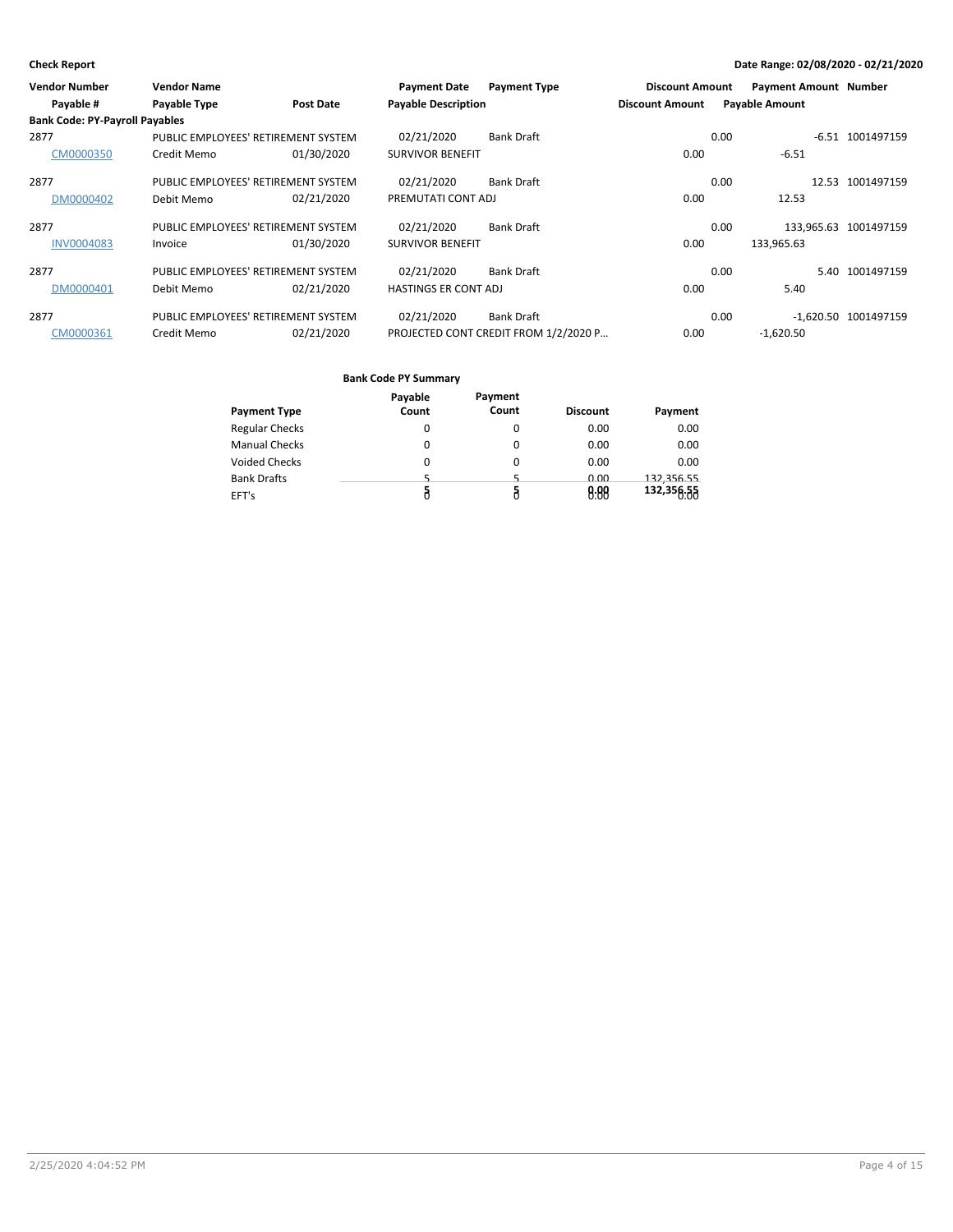| <b>Vendor Number</b>                  | <b>Vendor Name</b>                  |                  | <b>Payment Date</b>         | <b>Payment Type</b>                   | <b>Discount Amount</b> |      | <b>Payment Amount Number</b> |                       |
|---------------------------------------|-------------------------------------|------------------|-----------------------------|---------------------------------------|------------------------|------|------------------------------|-----------------------|
| Payable #                             | Payable Type                        | <b>Post Date</b> | <b>Payable Description</b>  |                                       | <b>Discount Amount</b> |      | <b>Payable Amount</b>        |                       |
| <b>Bank Code: PY-Payroll Payables</b> |                                     |                  |                             |                                       |                        |      |                              |                       |
| 2877                                  | PUBLIC EMPLOYEES' RETIREMENT SYSTEM |                  | 02/21/2020                  | <b>Bank Draft</b>                     |                        | 0.00 |                              | -6.51 1001497159      |
| CM0000350                             | Credit Memo                         | 01/30/2020       | <b>SURVIVOR BENEFIT</b>     |                                       | 0.00                   |      | $-6.51$                      |                       |
| 2877                                  | PUBLIC EMPLOYEES' RETIREMENT SYSTEM |                  | 02/21/2020                  | <b>Bank Draft</b>                     |                        | 0.00 |                              | 12.53 1001497159      |
| DM0000402                             | Debit Memo                          | 02/21/2020       | PREMUTATI CONT ADJ          |                                       | 0.00                   |      | 12.53                        |                       |
| 2877                                  | PUBLIC EMPLOYEES' RETIREMENT SYSTEM |                  | 02/21/2020                  | <b>Bank Draft</b>                     |                        | 0.00 |                              | 133,965.63 1001497159 |
| <b>INV0004083</b>                     | Invoice                             | 01/30/2020       | <b>SURVIVOR BENEFIT</b>     |                                       | 0.00                   |      | 133,965.63                   |                       |
| 2877                                  | PUBLIC EMPLOYEES' RETIREMENT SYSTEM |                  | 02/21/2020                  | <b>Bank Draft</b>                     |                        | 0.00 |                              | 5.40 1001497159       |
| DM0000401                             | Debit Memo                          | 02/21/2020       | <b>HASTINGS ER CONT ADJ</b> |                                       | 0.00                   |      | 5.40                         |                       |
| 2877                                  | PUBLIC EMPLOYEES' RETIREMENT SYSTEM |                  | 02/21/2020                  | <b>Bank Draft</b>                     |                        | 0.00 |                              | -1,620.50 1001497159  |
| CM0000361                             | Credit Memo                         | 02/21/2020       |                             | PROJECTED CONT CREDIT FROM 1/2/2020 P | 0.00                   |      | $-1,620.50$                  |                       |

|                       | Payable | Payment |                 |            |
|-----------------------|---------|---------|-----------------|------------|
| Payment Type          | Count   | Count   | <b>Discount</b> | Payment    |
| <b>Regular Checks</b> | 0       |         | 0.00            | 0.00       |
| <b>Manual Checks</b>  | 0       |         | 0.00            | 0.00       |
| <b>Voided Checks</b>  | 0       | 0       | 0.00            | 0.00       |
| <b>Bank Drafts</b>    | 5       |         | 0.00            | 132.356.55 |
| EFT's                 |         |         | 0.88            | 132,356.55 |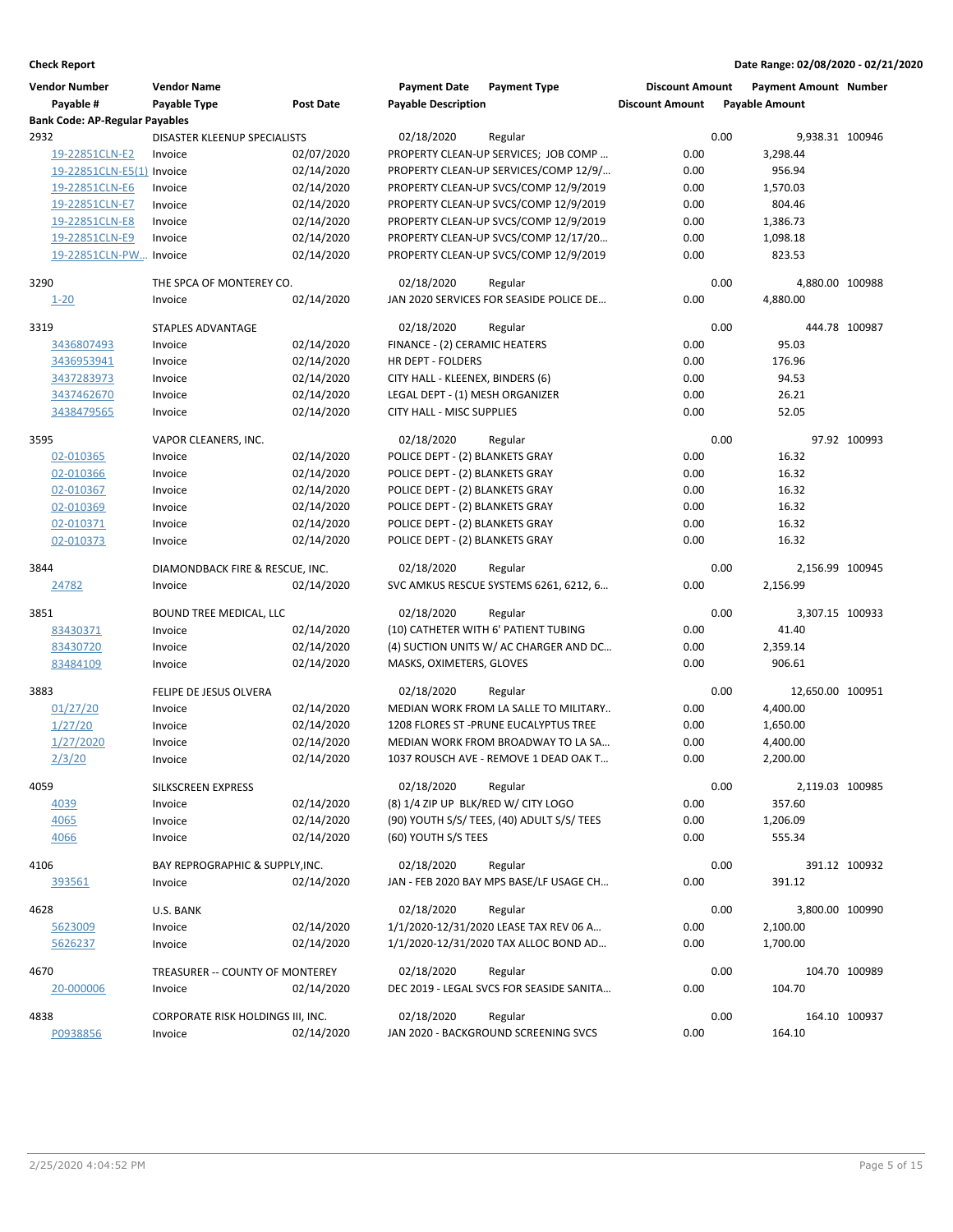| <b>Vendor Number</b>                  | <b>Vendor Name</b>                |                  | <b>Payment Date</b>                 | <b>Payment Type</b>                        | <b>Discount Amount</b> |      | <b>Payment Amount Number</b> |               |
|---------------------------------------|-----------------------------------|------------------|-------------------------------------|--------------------------------------------|------------------------|------|------------------------------|---------------|
| Payable #                             | Payable Type                      | <b>Post Date</b> | <b>Payable Description</b>          |                                            | <b>Discount Amount</b> |      | <b>Payable Amount</b>        |               |
| <b>Bank Code: AP-Regular Payables</b> |                                   |                  |                                     |                                            |                        |      |                              |               |
| 2932                                  | DISASTER KLEENUP SPECIALISTS      |                  | 02/18/2020                          | Regular                                    |                        | 0.00 | 9,938.31 100946              |               |
| 19-22851CLN-E2                        | Invoice                           | 02/07/2020       |                                     | PROPERTY CLEAN-UP SERVICES; JOB COMP       | 0.00                   |      | 3,298.44                     |               |
| 19-22851CLN-E5(1) Invoice             |                                   | 02/14/2020       |                                     | PROPERTY CLEAN-UP SERVICES/COMP 12/9/      | 0.00                   |      | 956.94                       |               |
| 19-22851CLN-E6                        | Invoice                           | 02/14/2020       |                                     | PROPERTY CLEAN-UP SVCS/COMP 12/9/2019      | 0.00                   |      | 1,570.03                     |               |
| 19-22851CLN-E7                        | Invoice                           | 02/14/2020       |                                     | PROPERTY CLEAN-UP SVCS/COMP 12/9/2019      | 0.00                   |      | 804.46                       |               |
| 19-22851CLN-E8                        | Invoice                           | 02/14/2020       |                                     | PROPERTY CLEAN-UP SVCS/COMP 12/9/2019      | 0.00                   |      | 1,386.73                     |               |
| 19-22851CLN-E9                        | Invoice                           | 02/14/2020       |                                     | PROPERTY CLEAN-UP SVCS/COMP 12/17/20       | 0.00                   |      | 1,098.18                     |               |
| 19-22851CLN-PW Invoice                |                                   | 02/14/2020       |                                     | PROPERTY CLEAN-UP SVCS/COMP 12/9/2019      | 0.00                   |      | 823.53                       |               |
| 3290                                  | THE SPCA OF MONTEREY CO.          |                  | 02/18/2020                          | Regular                                    |                        | 0.00 | 4,880.00 100988              |               |
| $1 - 20$                              | Invoice                           | 02/14/2020       |                                     | JAN 2020 SERVICES FOR SEASIDE POLICE DE    | 0.00                   |      | 4,880.00                     |               |
|                                       |                                   |                  |                                     |                                            |                        |      |                              |               |
| 3319                                  | <b>STAPLES ADVANTAGE</b>          |                  | 02/18/2020                          | Regular                                    |                        | 0.00 |                              | 444.78 100987 |
| 3436807493                            | Invoice                           | 02/14/2020       | FINANCE - (2) CERAMIC HEATERS       |                                            | 0.00                   |      | 95.03                        |               |
| 3436953941                            | Invoice                           | 02/14/2020       | HR DEPT - FOLDERS                   |                                            | 0.00                   |      | 176.96                       |               |
| 3437283973                            | Invoice                           | 02/14/2020       | CITY HALL - KLEENEX, BINDERS (6)    |                                            | 0.00                   |      | 94.53                        |               |
| 3437462670                            | Invoice                           | 02/14/2020       | LEGAL DEPT - (1) MESH ORGANIZER     |                                            | 0.00                   |      | 26.21                        |               |
| 3438479565                            | Invoice                           | 02/14/2020       | CITY HALL - MISC SUPPLIES           |                                            | 0.00                   |      | 52.05                        |               |
| 3595                                  | VAPOR CLEANERS, INC.              |                  | 02/18/2020                          | Regular                                    |                        | 0.00 |                              | 97.92 100993  |
| 02-010365                             | Invoice                           | 02/14/2020       | POLICE DEPT - (2) BLANKETS GRAY     |                                            | 0.00                   |      | 16.32                        |               |
| 02-010366                             | Invoice                           | 02/14/2020       | POLICE DEPT - (2) BLANKETS GRAY     |                                            | 0.00                   |      | 16.32                        |               |
| 02-010367                             | Invoice                           | 02/14/2020       | POLICE DEPT - (2) BLANKETS GRAY     |                                            | 0.00                   |      | 16.32                        |               |
| 02-010369                             | Invoice                           | 02/14/2020       | POLICE DEPT - (2) BLANKETS GRAY     |                                            | 0.00                   |      | 16.32                        |               |
| 02-010371                             | Invoice                           | 02/14/2020       | POLICE DEPT - (2) BLANKETS GRAY     |                                            | 0.00                   |      | 16.32                        |               |
| 02-010373                             | Invoice                           | 02/14/2020       | POLICE DEPT - (2) BLANKETS GRAY     |                                            | 0.00                   |      | 16.32                        |               |
|                                       |                                   |                  |                                     |                                            |                        |      |                              |               |
| 3844                                  | DIAMONDBACK FIRE & RESCUE, INC.   |                  | 02/18/2020                          | Regular                                    |                        | 0.00 | 2,156.99 100945              |               |
| 24782                                 | Invoice                           | 02/14/2020       |                                     | SVC AMKUS RESCUE SYSTEMS 6261, 6212, 6     | 0.00                   |      | 2,156.99                     |               |
| 3851                                  | BOUND TREE MEDICAL, LLC           |                  | 02/18/2020                          | Regular                                    |                        | 0.00 | 3,307.15 100933              |               |
| 83430371                              | Invoice                           | 02/14/2020       |                                     | (10) CATHETER WITH 6' PATIENT TUBING       | 0.00                   |      | 41.40                        |               |
| 83430720                              | Invoice                           | 02/14/2020       |                                     | (4) SUCTION UNITS W/ AC CHARGER AND DC     | 0.00                   |      | 2,359.14                     |               |
| 83484109                              | Invoice                           | 02/14/2020       | MASKS, OXIMETERS, GLOVES            |                                            | 0.00                   |      | 906.61                       |               |
|                                       |                                   |                  |                                     |                                            |                        |      |                              |               |
| 3883                                  | FELIPE DE JESUS OLVERA            |                  | 02/18/2020                          | Regular                                    |                        | 0.00 | 12,650.00 100951             |               |
| 01/27/20                              | Invoice                           | 02/14/2020       |                                     | MEDIAN WORK FROM LA SALLE TO MILITARY      | 0.00                   |      | 4,400.00                     |               |
| 1/27/20                               | Invoice                           | 02/14/2020       |                                     | 1208 FLORES ST - PRUNE EUCALYPTUS TREE     | 0.00                   |      | 1,650.00                     |               |
| 1/27/2020                             | Invoice                           | 02/14/2020       |                                     | MEDIAN WORK FROM BROADWAY TO LA SA         | 0.00                   |      | 4,400.00                     |               |
| 2/3/20                                | Invoice                           | 02/14/2020       |                                     | 1037 ROUSCH AVE - REMOVE 1 DEAD OAK T      | 0.00                   |      | 2,200.00                     |               |
| 4059                                  | <b>SILKSCREEN EXPRESS</b>         |                  | 02/18/2020                          | Regular                                    |                        | 0.00 | 2,119.03 100985              |               |
| 4039                                  | Invoice                           | 02/14/2020       | (8) 1/4 ZIP UP BLK/RED W/ CITY LOGO |                                            | 0.00                   |      | 357.60                       |               |
| 4065                                  | Invoice                           | 02/14/2020       |                                     | (90) YOUTH S/S/ TEES, (40) ADULT S/S/ TEES | 0.00                   |      | 1,206.09                     |               |
| 4066                                  | Invoice                           | 02/14/2020       | (60) YOUTH S/S TEES                 |                                            | 0.00                   |      | 555.34                       |               |
|                                       |                                   |                  |                                     |                                            |                        |      |                              |               |
| 4106                                  | BAY REPROGRAPHIC & SUPPLY, INC.   |                  | 02/18/2020                          | Regular                                    |                        | 0.00 |                              | 391.12 100932 |
| 393561                                | Invoice                           | 02/14/2020       |                                     | JAN - FEB 2020 BAY MPS BASE/LF USAGE CH    | 0.00                   |      | 391.12                       |               |
| 4628                                  | U.S. BANK                         |                  | 02/18/2020                          | Regular                                    |                        | 0.00 | 3,800.00 100990              |               |
| 5623009                               | Invoice                           | 02/14/2020       |                                     | 1/1/2020-12/31/2020 LEASE TAX REV 06 A     | 0.00                   |      | 2,100.00                     |               |
| 5626237                               | Invoice                           | 02/14/2020       |                                     | 1/1/2020-12/31/2020 TAX ALLOC BOND AD      | 0.00                   |      | 1,700.00                     |               |
|                                       |                                   |                  |                                     |                                            |                        |      |                              |               |
| 4670                                  | TREASURER -- COUNTY OF MONTEREY   |                  | 02/18/2020                          | Regular                                    |                        | 0.00 |                              | 104.70 100989 |
| 20-000006                             | Invoice                           | 02/14/2020       |                                     | DEC 2019 - LEGAL SVCS FOR SEASIDE SANITA   | 0.00                   |      | 104.70                       |               |
| 4838                                  | CORPORATE RISK HOLDINGS III, INC. |                  | 02/18/2020                          | Regular                                    |                        | 0.00 |                              | 164.10 100937 |
| P0938856                              | Invoice                           | 02/14/2020       |                                     | JAN 2020 - BACKGROUND SCREENING SVCS       | 0.00                   |      | 164.10                       |               |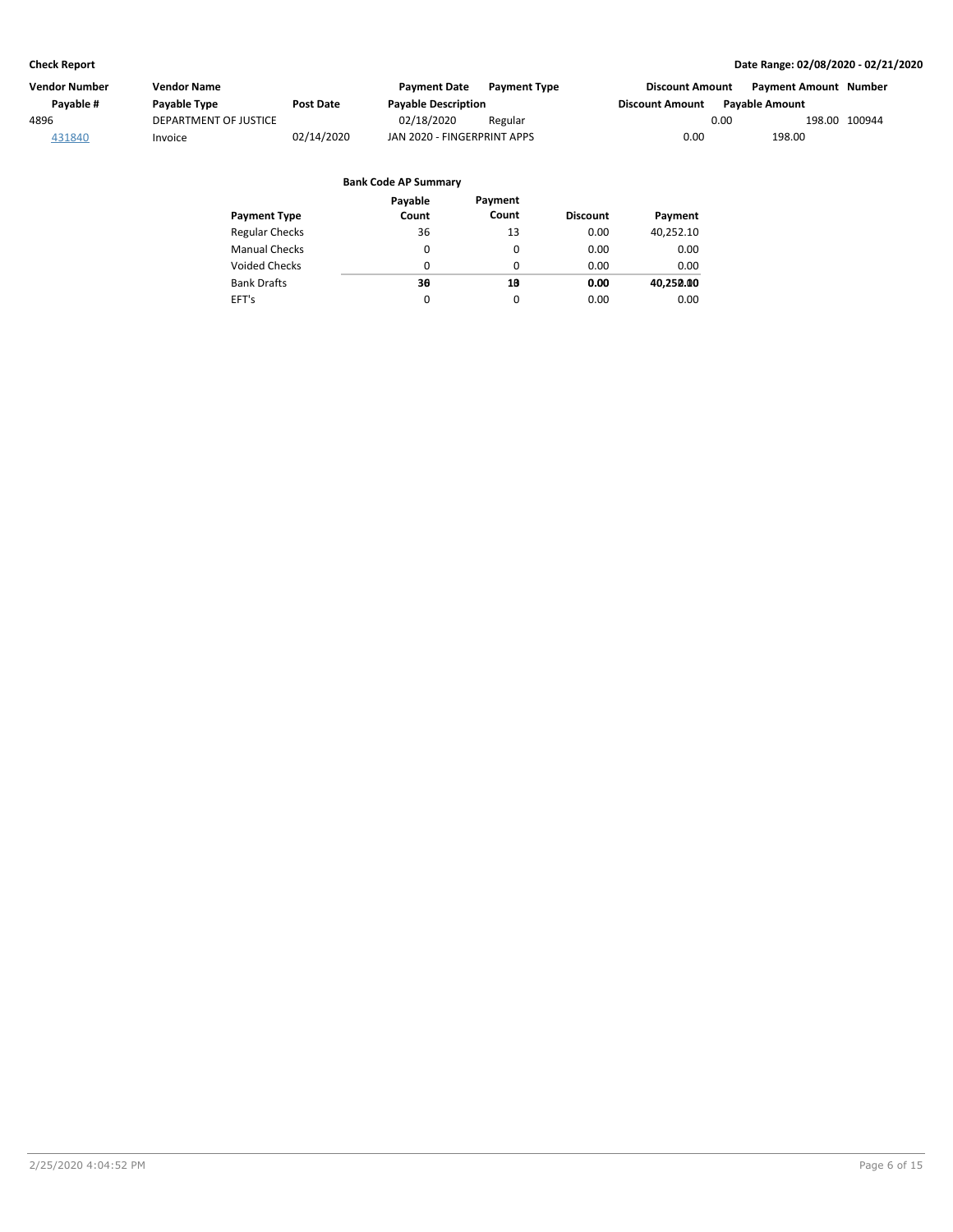| Vendor Number | Vendor Name           |            | <b>Payment Date</b>         | <b>Payment Type</b> | <b>Discount Amount</b> | Payment Amount Number |               |
|---------------|-----------------------|------------|-----------------------------|---------------------|------------------------|-----------------------|---------------|
| Pavable #     | Payable Type          | Post Date  | <b>Payable Description</b>  |                     | <b>Discount Amount</b> | <b>Pavable Amount</b> |               |
| 4896          | DEPARTMENT OF JUSTICE |            | 02/18/2020                  | Regular             | 0.00                   |                       | 198.00 100944 |
| 431840        | Invoice               | 02/14/2020 | JAN 2020 - FINGERPRINT APPS |                     | 0.00                   | 198.00                |               |

| <b>Payment Type</b>   | Payable<br>Count | Payment<br>Count | <b>Discount</b> | Payment   |
|-----------------------|------------------|------------------|-----------------|-----------|
| <b>Regular Checks</b> | 36               | 13               | 0.00            | 40,252.10 |
| <b>Manual Checks</b>  | 0                | 0                | 0.00            | 0.00      |
| <b>Voided Checks</b>  | 0                | 0                | 0.00            | 0.00      |
| <b>Bank Drafts</b>    | 30               | 10               | 0.00            | 40,250.00 |
| EFT's                 | $\Omega$         | 0                | 0.00            | 0.00      |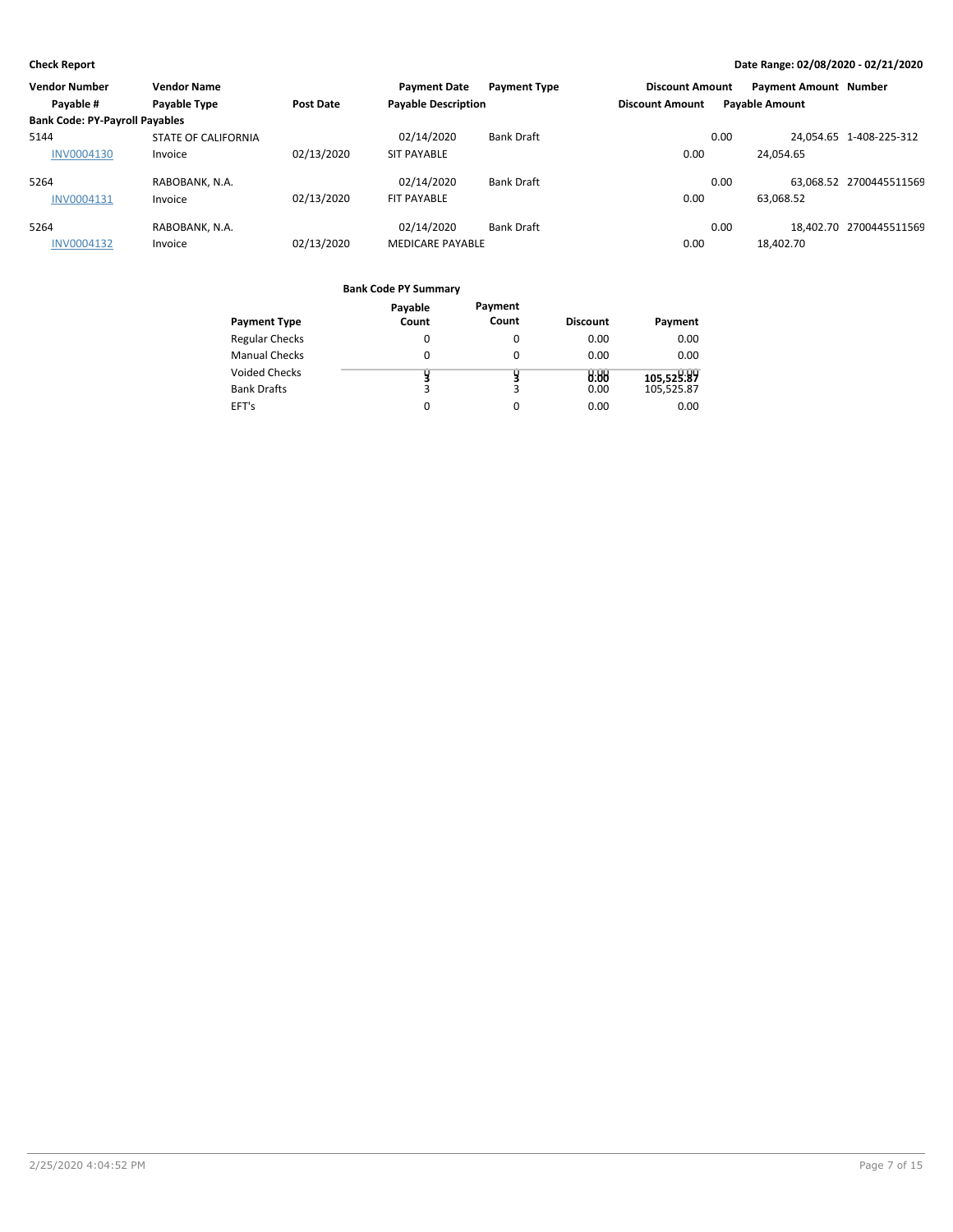| <b>Vendor Number</b>                  | <b>Vendor Name</b>         |            | <b>Payment Date</b>        | <b>Payment Type</b> | <b>Discount Amount</b> |      | <b>Payment Amount Number</b> |                         |
|---------------------------------------|----------------------------|------------|----------------------------|---------------------|------------------------|------|------------------------------|-------------------------|
| Payable #                             | Payable Type               | Post Date  | <b>Payable Description</b> |                     | <b>Discount Amount</b> |      | <b>Payable Amount</b>        |                         |
| <b>Bank Code: PY-Payroll Payables</b> |                            |            |                            |                     |                        |      |                              |                         |
| 5144                                  | <b>STATE OF CALIFORNIA</b> |            | 02/14/2020                 | <b>Bank Draft</b>   |                        | 0.00 |                              | 24.054.65 1-408-225-312 |
| <b>INV0004130</b>                     | Invoice                    | 02/13/2020 | <b>SIT PAYABLE</b>         |                     | 0.00                   |      | 24,054.65                    |                         |
| 5264                                  | RABOBANK, N.A.             |            | 02/14/2020                 | <b>Bank Draft</b>   |                        | 0.00 |                              | 63.068.52 2700445511569 |
| INV0004131                            | Invoice                    | 02/13/2020 | FIT PAYABLE                |                     | 0.00                   |      | 63,068.52                    |                         |
| 5264                                  | RABOBANK, N.A.             |            | 02/14/2020                 | <b>Bank Draft</b>   |                        | 0.00 |                              | 18.402.70 2700445511569 |
| <b>INV0004132</b>                     | Invoice                    | 02/13/2020 | <b>MEDICARE PAYABLE</b>    |                     | 0.00                   |      | 18,402.70                    |                         |

| <b>Payment Type</b>   | Payable<br>Count | Payment<br>Count | <b>Discount</b> | Payment    |
|-----------------------|------------------|------------------|-----------------|------------|
| <b>Regular Checks</b> | 0                | 0                | 0.00            | 0.00       |
| <b>Manual Checks</b>  | 0                | $\Omega$         | 0.00            | 0.00       |
| <b>Voided Checks</b>  |                  |                  | 0.88            | 105,529.89 |
| <b>Bank Drafts</b>    | 3                | 3                | 0.00            | 105.525.87 |
| EFT's                 | 0                | 0                | 0.00            | 0.00       |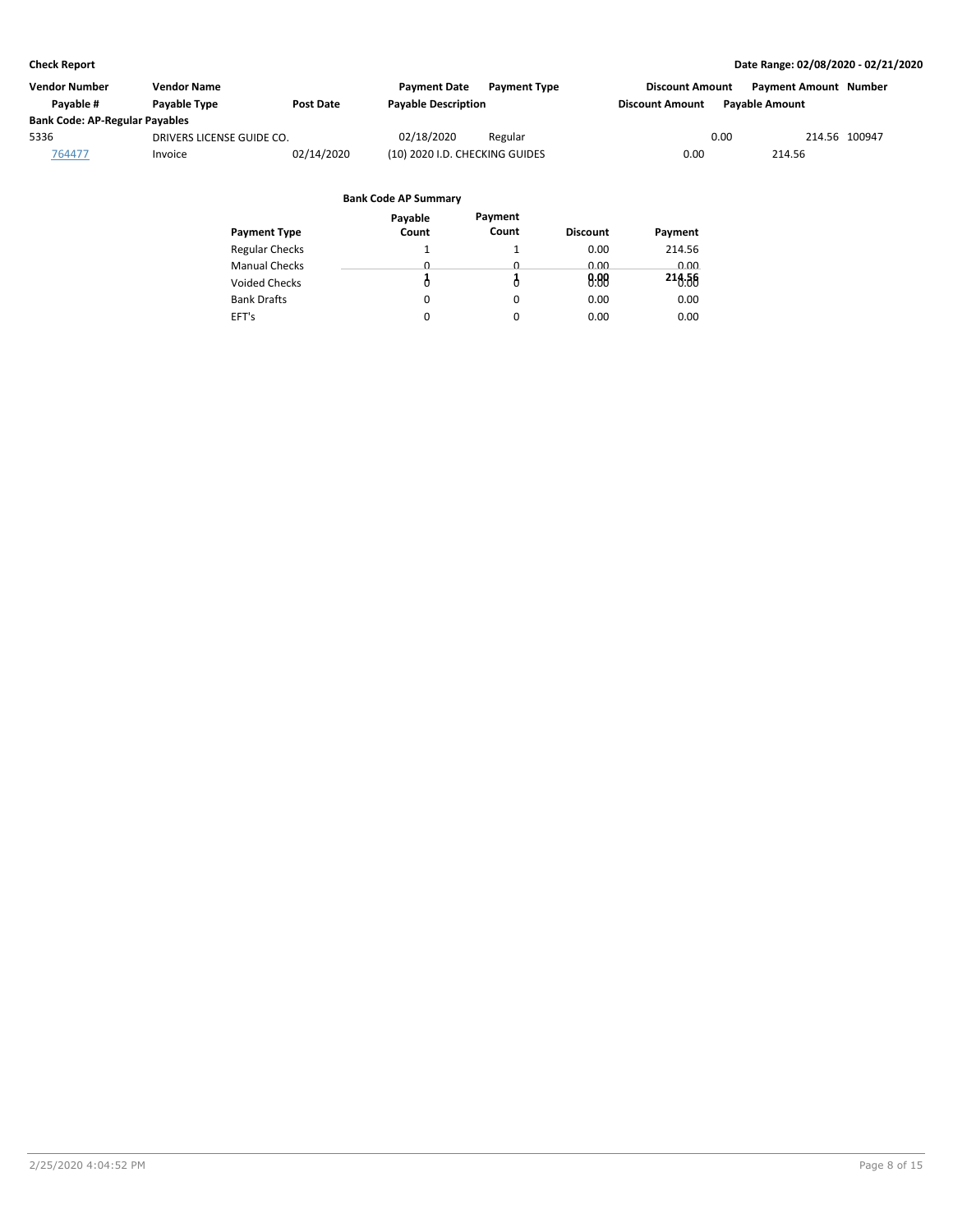| Vendor Number                         | Vendor Name               |            | <b>Payment Date</b>            | <b>Payment Type</b> | <b>Discount Amount</b> |                       | Payment Amount Number |  |
|---------------------------------------|---------------------------|------------|--------------------------------|---------------------|------------------------|-----------------------|-----------------------|--|
| Pavable #                             | <b>Pavable Type</b>       | Post Date  | <b>Payable Description</b>     |                     | <b>Discount Amount</b> | <b>Pavable Amount</b> |                       |  |
| <b>Bank Code: AP-Regular Payables</b> |                           |            |                                |                     |                        |                       |                       |  |
| 5336                                  | DRIVERS LICENSE GUIDE CO. |            | 02/18/2020                     | Regular             |                        | 0.00                  | 214.56 100947         |  |
| 764477                                | Invoice                   | 02/14/2020 | (10) 2020 I.D. CHECKING GUIDES |                     | 0.00                   | 214.56                |                       |  |

|                       | Payable  | Payment  |                 |         |
|-----------------------|----------|----------|-----------------|---------|
| <b>Payment Type</b>   | Count    | Count    | <b>Discount</b> | Payment |
| <b>Regular Checks</b> |          |          | 0.00            | 214.56  |
| <b>Manual Checks</b>  | <u>n</u> | <u>n</u> | 0.00            | 0.00    |
| <b>Voided Checks</b>  |          |          | 0.88            | 216.56  |
| <b>Bank Drafts</b>    | 0        | 0        | 0.00            | 0.00    |
| EFT's                 | 0        | 0        | 0.00            | 0.00    |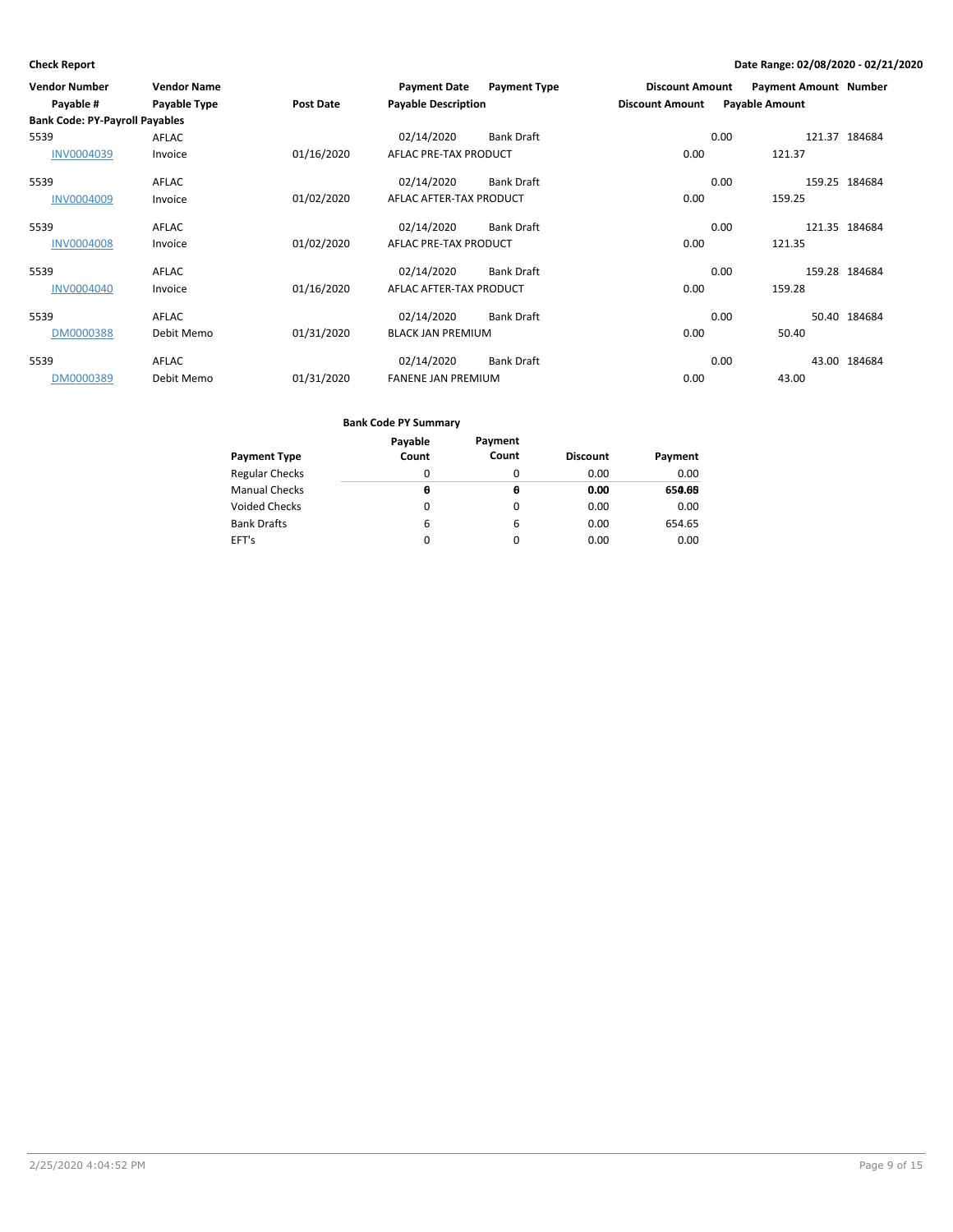| <b>Vendor Number</b><br>Payable #     | <b>Vendor Name</b><br>Payable Type | Post Date  | <b>Payment Date</b><br><b>Payable Description</b> | <b>Payment Type</b> | <b>Discount Amount</b><br><b>Discount Amount</b> | <b>Payment Amount Number</b><br><b>Payable Amount</b> |               |
|---------------------------------------|------------------------------------|------------|---------------------------------------------------|---------------------|--------------------------------------------------|-------------------------------------------------------|---------------|
| <b>Bank Code: PY-Payroll Payables</b> |                                    |            |                                                   |                     |                                                  |                                                       |               |
| 5539                                  | <b>AFLAC</b>                       |            | 02/14/2020                                        | <b>Bank Draft</b>   |                                                  | 0.00                                                  | 121.37 184684 |
| <b>INV0004039</b>                     | Invoice                            | 01/16/2020 | AFLAC PRE-TAX PRODUCT                             |                     | 0.00                                             | 121.37                                                |               |
| 5539                                  | <b>AFLAC</b>                       |            | 02/14/2020                                        | <b>Bank Draft</b>   |                                                  | 0.00                                                  | 159.25 184684 |
| <b>INV0004009</b>                     | Invoice                            | 01/02/2020 | AFLAC AFTER-TAX PRODUCT                           |                     | 0.00                                             | 159.25                                                |               |
| 5539                                  | AFLAC                              |            | 02/14/2020                                        | <b>Bank Draft</b>   |                                                  | 0.00                                                  | 121.35 184684 |
| <b>INV0004008</b>                     | Invoice                            | 01/02/2020 | AFLAC PRE-TAX PRODUCT                             |                     | 0.00                                             | 121.35                                                |               |
| 5539                                  | AFLAC                              |            | 02/14/2020                                        | <b>Bank Draft</b>   |                                                  | 0.00                                                  | 159.28 184684 |
| <b>INV0004040</b>                     | Invoice                            | 01/16/2020 | AFLAC AFTER-TAX PRODUCT                           |                     | 0.00                                             | 159.28                                                |               |
| 5539                                  | <b>AFLAC</b>                       |            | 02/14/2020                                        | <b>Bank Draft</b>   |                                                  | 0.00                                                  | 50.40 184684  |
| DM0000388                             | Debit Memo                         | 01/31/2020 | <b>BLACK JAN PREMIUM</b>                          |                     | 0.00                                             | 50.40                                                 |               |
| 5539                                  | <b>AFLAC</b>                       |            | 02/14/2020                                        | <b>Bank Draft</b>   |                                                  | 0.00                                                  | 43.00 184684  |
| DM0000389                             | Debit Memo                         | 01/31/2020 | <b>FANENE JAN PREMIUM</b>                         |                     | 0.00                                             | 43.00                                                 |               |

|                       | Payable | Payment |                 |         |
|-----------------------|---------|---------|-----------------|---------|
| <b>Payment Type</b>   | Count   | Count   | <b>Discount</b> | Payment |
| <b>Regular Checks</b> | 0       | 0       | 0.00            | 0.00    |
| <b>Manual Checks</b>  | Θ       | θ       | 0.00            | 650.66  |
| <b>Voided Checks</b>  | 0       | 0       | 0.00            | 0.00    |
| <b>Bank Drafts</b>    | 6       | 6       | 0.00            | 654.65  |
| EFT's                 | 0       | 0       | 0.00            | 0.00    |
|                       |         |         |                 |         |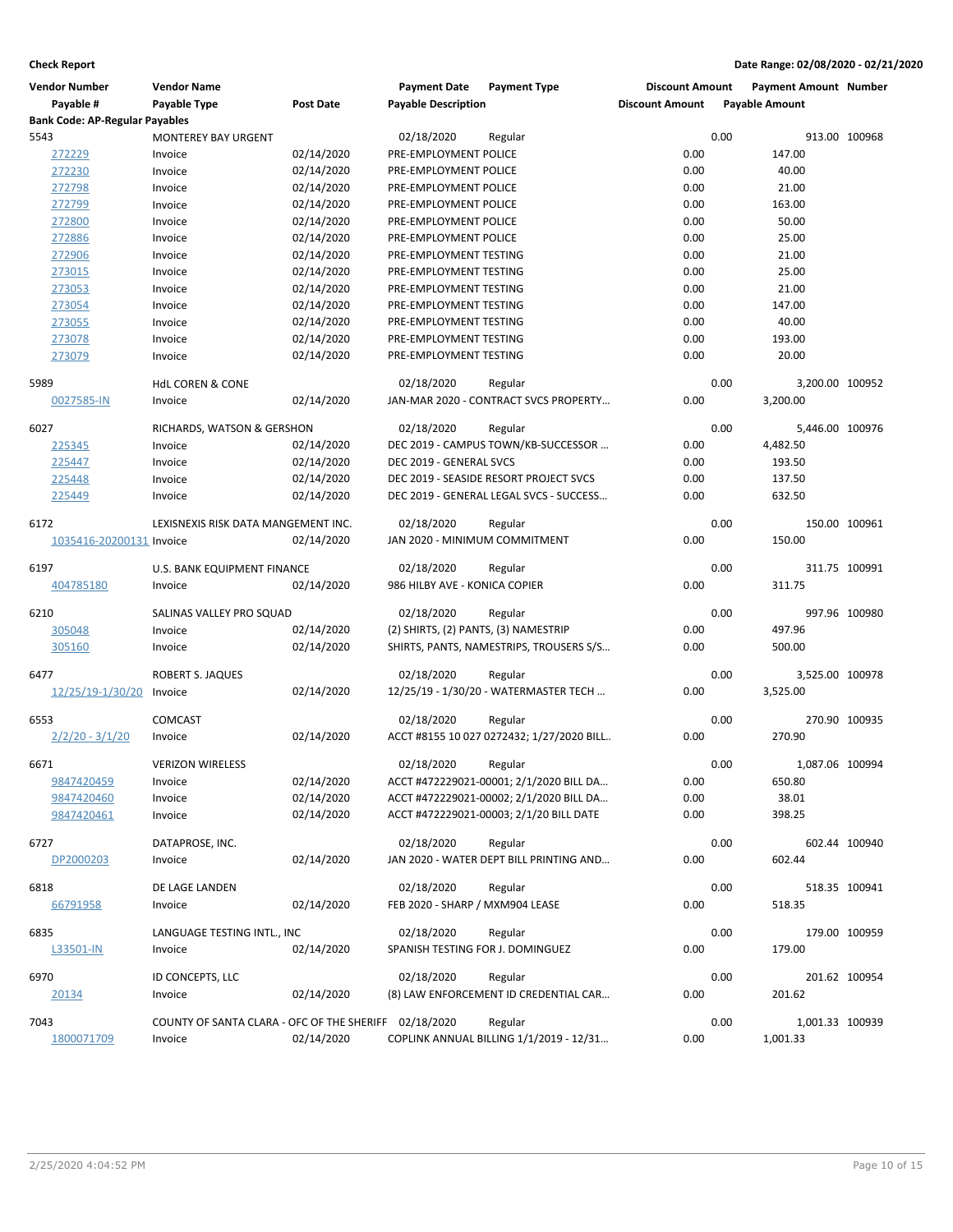| Vendor Number                         | <b>Vendor Name</b>                                    |            | <b>Payment Date</b>                  | <b>Payment Type</b>                       | <b>Discount Amount</b> |      | <b>Payment Amount Number</b> |               |
|---------------------------------------|-------------------------------------------------------|------------|--------------------------------------|-------------------------------------------|------------------------|------|------------------------------|---------------|
| Payable #                             | Payable Type                                          | Post Date  | <b>Payable Description</b>           |                                           | <b>Discount Amount</b> |      | <b>Payable Amount</b>        |               |
| <b>Bank Code: AP-Regular Payables</b> |                                                       |            |                                      |                                           |                        |      |                              |               |
| 5543                                  | <b>MONTEREY BAY URGENT</b>                            |            | 02/18/2020                           | Regular                                   |                        | 0.00 |                              | 913.00 100968 |
| 272229                                | Invoice                                               | 02/14/2020 | PRE-EMPLOYMENT POLICE                |                                           | 0.00                   |      | 147.00                       |               |
| 272230                                | Invoice                                               | 02/14/2020 | PRE-EMPLOYMENT POLICE                |                                           | 0.00                   |      | 40.00                        |               |
| 272798                                | Invoice                                               | 02/14/2020 | PRE-EMPLOYMENT POLICE                |                                           | 0.00                   |      | 21.00                        |               |
| 272799                                | Invoice                                               | 02/14/2020 | PRE-EMPLOYMENT POLICE                |                                           | 0.00                   |      | 163.00                       |               |
| 272800                                | Invoice                                               | 02/14/2020 | PRE-EMPLOYMENT POLICE                |                                           | 0.00                   |      | 50.00                        |               |
| 272886                                | Invoice                                               | 02/14/2020 | PRE-EMPLOYMENT POLICE                |                                           | 0.00                   |      | 25.00                        |               |
| 272906                                | Invoice                                               | 02/14/2020 | PRE-EMPLOYMENT TESTING               |                                           | 0.00                   |      | 21.00                        |               |
| 273015                                | Invoice                                               | 02/14/2020 | PRE-EMPLOYMENT TESTING               |                                           | 0.00                   |      | 25.00                        |               |
| 273053                                | Invoice                                               | 02/14/2020 | PRE-EMPLOYMENT TESTING               |                                           | 0.00                   |      | 21.00                        |               |
| 273054                                | Invoice                                               | 02/14/2020 | PRE-EMPLOYMENT TESTING               |                                           | 0.00                   |      | 147.00                       |               |
| 273055                                | Invoice                                               | 02/14/2020 | PRE-EMPLOYMENT TESTING               |                                           | 0.00                   |      | 40.00                        |               |
| 273078                                | Invoice                                               | 02/14/2020 | PRE-EMPLOYMENT TESTING               |                                           | 0.00                   |      | 193.00                       |               |
| 273079                                | Invoice                                               | 02/14/2020 | PRE-EMPLOYMENT TESTING               |                                           | 0.00                   |      | 20.00                        |               |
| 5989                                  | <b>HdL COREN &amp; CONE</b>                           |            | 02/18/2020                           | Regular                                   |                        | 0.00 | 3,200.00 100952              |               |
| 0027585-IN                            | Invoice                                               | 02/14/2020 |                                      | JAN-MAR 2020 - CONTRACT SVCS PROPERTY     | 0.00                   |      | 3,200.00                     |               |
| 6027                                  | RICHARDS, WATSON & GERSHON                            |            | 02/18/2020                           | Regular                                   |                        | 0.00 | 5,446.00 100976              |               |
| 225345                                | Invoice                                               | 02/14/2020 |                                      | DEC 2019 - CAMPUS TOWN/KB-SUCCESSOR       | 0.00                   |      | 4,482.50                     |               |
| 225447                                | Invoice                                               | 02/14/2020 | DEC 2019 - GENERAL SVCS              |                                           | 0.00                   |      | 193.50                       |               |
| 225448                                | Invoice                                               | 02/14/2020 |                                      | DEC 2019 - SEASIDE RESORT PROJECT SVCS    | 0.00                   |      | 137.50                       |               |
| 225449                                | Invoice                                               | 02/14/2020 |                                      | DEC 2019 - GENERAL LEGAL SVCS - SUCCESS   | 0.00                   |      | 632.50                       |               |
| 6172                                  | LEXISNEXIS RISK DATA MANGEMENT INC.                   |            | 02/18/2020                           | Regular                                   |                        | 0.00 |                              | 150.00 100961 |
| 1035416-20200131 Invoice              |                                                       | 02/14/2020 | JAN 2020 - MINIMUM COMMITMENT        |                                           | 0.00                   |      | 150.00                       |               |
| 6197                                  | U.S. BANK EQUIPMENT FINANCE                           |            | 02/18/2020                           | Regular                                   |                        | 0.00 |                              | 311.75 100991 |
| 404785180                             | Invoice                                               | 02/14/2020 | 986 HILBY AVE - KONICA COPIER        |                                           | 0.00                   |      | 311.75                       |               |
|                                       |                                                       |            |                                      |                                           |                        |      |                              |               |
| 6210                                  | SALINAS VALLEY PRO SQUAD                              |            | 02/18/2020                           | Regular                                   |                        | 0.00 |                              | 997.96 100980 |
| 305048                                | Invoice                                               | 02/14/2020 | (2) SHIRTS, (2) PANTS, (3) NAMESTRIP |                                           | 0.00                   |      | 497.96                       |               |
| 305160                                | Invoice                                               | 02/14/2020 |                                      | SHIRTS, PANTS, NAMESTRIPS, TROUSERS S/S   | 0.00                   |      | 500.00                       |               |
| 6477                                  | <b>ROBERT S. JAQUES</b>                               |            | 02/18/2020                           | Regular                                   |                        | 0.00 | 3,525.00 100978              |               |
| 12/25/19-1/30/20                      | Invoice                                               | 02/14/2020 |                                      | 12/25/19 - 1/30/20 - WATERMASTER TECH     | 0.00                   |      | 3,525.00                     |               |
|                                       |                                                       |            |                                      |                                           |                        |      |                              |               |
| 6553                                  | <b>COMCAST</b>                                        |            | 02/18/2020                           | Regular                                   |                        | 0.00 |                              | 270.90 100935 |
| $2/2/20 - 3/1/20$                     | Invoice                                               | 02/14/2020 |                                      | ACCT #8155 10 027 0272432; 1/27/2020 BILL | 0.00                   |      | 270.90                       |               |
| 6671                                  | <b>VERIZON WIRELESS</b>                               |            | 02/18/2020                           | Regular                                   |                        | 0.00 | 1,087.06 100994              |               |
| 9847420459                            | Invoice                                               | 02/14/2020 |                                      | ACCT #472229021-00001; 2/1/2020 BILL DA   | 0.00                   |      | 650.80                       |               |
| 9847420460                            | Invoice                                               | 02/14/2020 |                                      | ACCT #472229021-00002; 2/1/2020 BILL DA   | 0.00                   |      | 38.01                        |               |
| 9847420461                            | Invoice                                               | 02/14/2020 |                                      | ACCT #472229021-00003; 2/1/20 BILL DATE   | 0.00                   |      | 398.25                       |               |
| 6727                                  | DATAPROSE, INC.                                       |            | 02/18/2020                           | Regular                                   |                        | 0.00 |                              | 602.44 100940 |
| DP2000203                             | Invoice                                               | 02/14/2020 |                                      | JAN 2020 - WATER DEPT BILL PRINTING AND   | 0.00                   |      | 602.44                       |               |
|                                       |                                                       |            |                                      |                                           |                        |      |                              |               |
| 6818                                  | DE LAGE LANDEN                                        |            | 02/18/2020                           | Regular                                   |                        | 0.00 |                              | 518.35 100941 |
| 66791958                              | Invoice                                               | 02/14/2020 | FEB 2020 - SHARP / MXM904 LEASE      |                                           | 0.00                   |      | 518.35                       |               |
| 6835                                  | LANGUAGE TESTING INTL., INC                           |            | 02/18/2020                           | Regular                                   |                        | 0.00 |                              | 179.00 100959 |
| L33501-IN                             | Invoice                                               | 02/14/2020 | SPANISH TESTING FOR J. DOMINGUEZ     |                                           | 0.00                   |      | 179.00                       |               |
| 6970                                  | ID CONCEPTS, LLC                                      |            | 02/18/2020                           | Regular                                   |                        | 0.00 |                              | 201.62 100954 |
| 20134                                 | Invoice                                               | 02/14/2020 |                                      | (8) LAW ENFORCEMENT ID CREDENTIAL CAR     | 0.00                   |      | 201.62                       |               |
| 7043                                  | COUNTY OF SANTA CLARA - OFC OF THE SHERIFF 02/18/2020 |            |                                      | Regular                                   |                        | 0.00 | 1,001.33 100939              |               |
| 1800071709                            | Invoice                                               | 02/14/2020 |                                      | COPLINK ANNUAL BILLING 1/1/2019 - 12/31   | 0.00                   |      | 1,001.33                     |               |
|                                       |                                                       |            |                                      |                                           |                        |      |                              |               |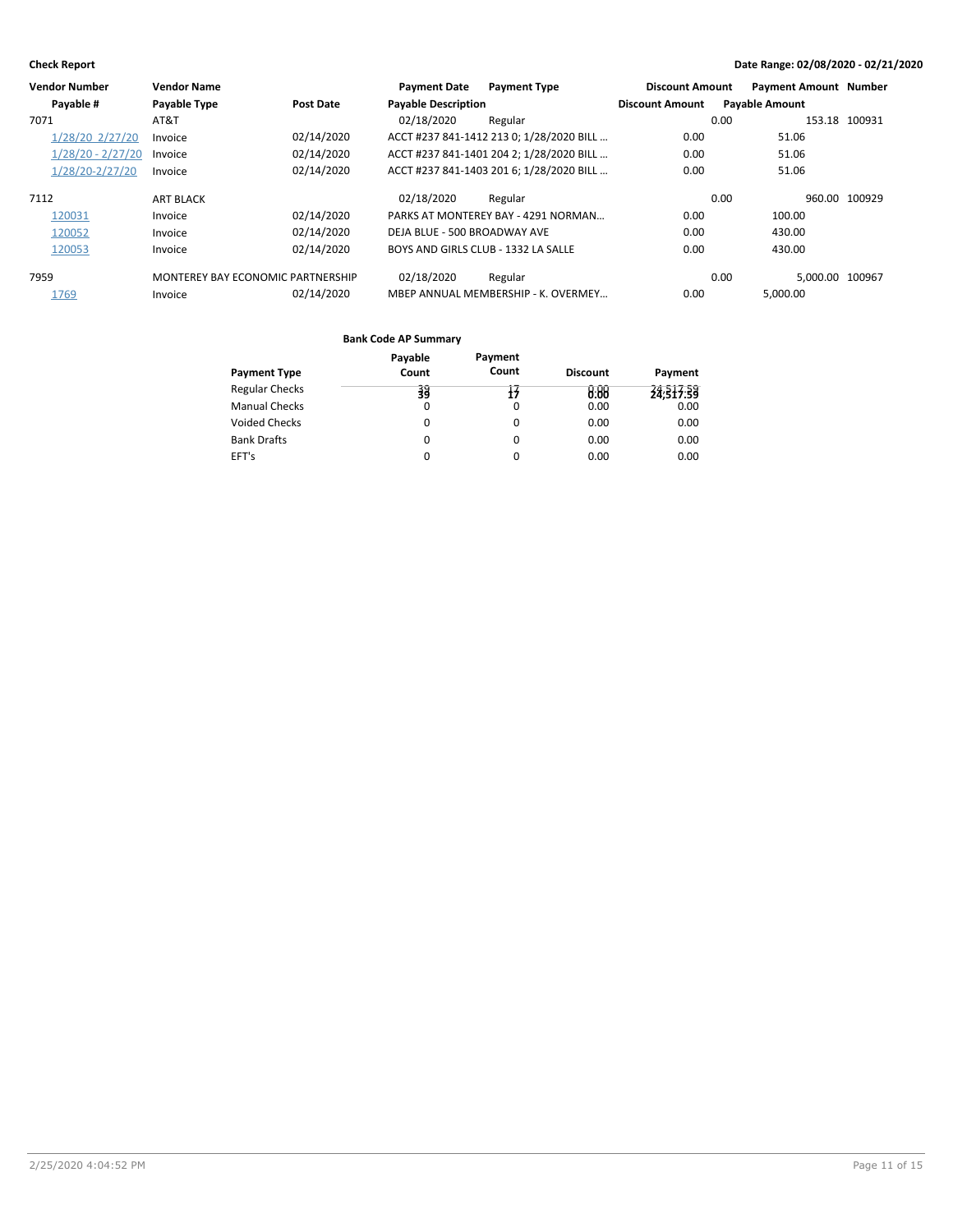|      | <b>Vendor Number</b> | <b>Vendor Name</b>                |            | <b>Payment Date</b>                 | <b>Payment Type</b>                      | <b>Discount Amount</b> | <b>Payment Amount Number</b> |               |
|------|----------------------|-----------------------------------|------------|-------------------------------------|------------------------------------------|------------------------|------------------------------|---------------|
|      | Payable #            | <b>Payable Type</b>               | Post Date  | <b>Payable Description</b>          |                                          | <b>Discount Amount</b> | <b>Payable Amount</b>        |               |
| 7071 |                      | AT&T                              |            | 02/18/2020                          | Regular                                  |                        | 0.00                         | 153.18 100931 |
|      | 1/28/20 2/27/20      | Invoice                           | 02/14/2020 |                                     | ACCT #237 841-1412 213 0; 1/28/2020 BILL | 0.00                   | 51.06                        |               |
|      | $1/28/20 - 2/27/20$  | Invoice                           | 02/14/2020 |                                     | ACCT #237 841-1401 204 2; 1/28/2020 BILL | 0.00                   | 51.06                        |               |
|      | 1/28/20-2/27/20      | Invoice                           | 02/14/2020 |                                     | ACCT #237 841-1403 201 6; 1/28/2020 BILL | 0.00                   | 51.06                        |               |
| 7112 |                      | <b>ART BLACK</b>                  |            | 02/18/2020                          | Regular                                  |                        | 0.00                         | 960.00 100929 |
|      | 120031               | Invoice                           | 02/14/2020 |                                     | PARKS AT MONTEREY BAY - 4291 NORMAN      | 0.00                   | 100.00                       |               |
|      | 120052               | Invoice                           | 02/14/2020 | DEJA BLUE - 500 BROADWAY AVE        |                                          | 0.00                   | 430.00                       |               |
|      | 120053               | Invoice                           | 02/14/2020 | BOYS AND GIRLS CLUB - 1332 LA SALLE |                                          | 0.00                   | 430.00                       |               |
| 7959 |                      | MONTEREY BAY ECONOMIC PARTNERSHIP |            | 02/18/2020                          | Regular                                  |                        | 0.00<br>5.000.00 100967      |               |
|      | 1769                 | Invoice                           | 02/14/2020 |                                     | MBEP ANNUAL MEMBERSHIP - K. OVERMEY      | 0.00                   | 5.000.00                     |               |

| Payment Type          | Payable<br>Count | Payment<br>Count | <b>Discount</b> | Payment   |
|-----------------------|------------------|------------------|-----------------|-----------|
| <b>Regular Checks</b> | 羽                | Ŧ                | 0.88            | 24:317:39 |
| Manual Checks         | $\Omega$         | 0                | 0.00            | 0.00      |
| Voided Checks         | 0                | 0                | 0.00            | 0.00      |
| Bank Drafts           | 0                | 0                | 0.00            | 0.00      |
| EFT's                 |                  | 0                | 0.00            | 0.00      |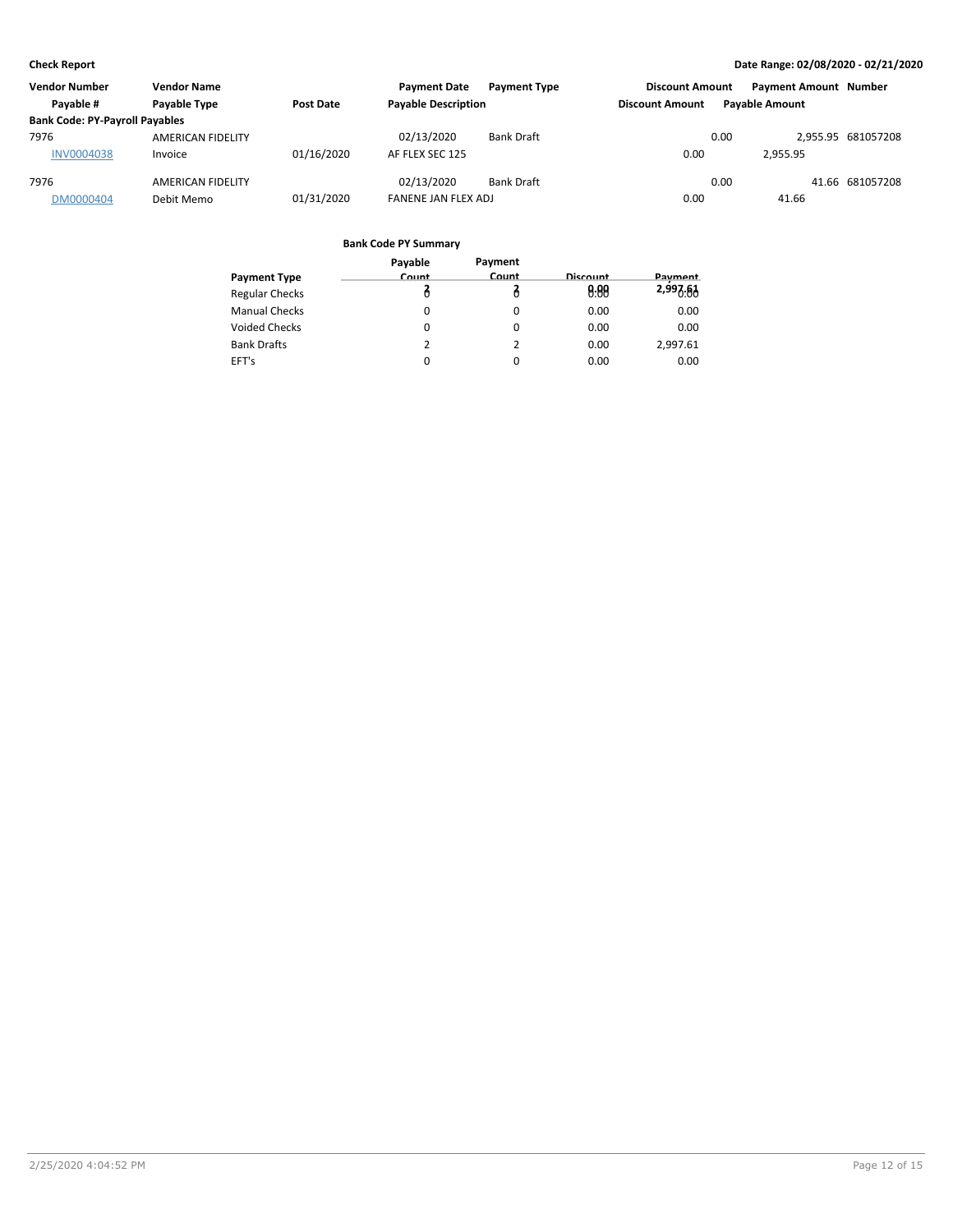| <b>Vendor Number</b>                  | <b>Vendor Name</b> |            | <b>Payment Date</b>        | <b>Payment Type</b> | <b>Discount Amount</b> |                       | <b>Payment Amount Number</b> |                    |
|---------------------------------------|--------------------|------------|----------------------------|---------------------|------------------------|-----------------------|------------------------------|--------------------|
| Payable #                             | Payable Type       | Post Date  | <b>Payable Description</b> |                     | <b>Discount Amount</b> | <b>Pavable Amount</b> |                              |                    |
| <b>Bank Code: PY-Payroll Payables</b> |                    |            |                            |                     |                        |                       |                              |                    |
| 7976                                  | AMERICAN FIDELITY  |            | 02/13/2020                 | <b>Bank Draft</b>   |                        | 0.00                  |                              | 2,955.95 681057208 |
| <b>INV0004038</b>                     | Invoice            | 01/16/2020 | AF FLEX SEC 125            |                     | 0.00                   |                       | 2.955.95                     |                    |
| 7976                                  | AMERICAN FIDELITY  |            | 02/13/2020                 | <b>Bank Draft</b>   |                        | 0.00                  |                              | 41.66 681057208    |
| DM0000404                             | Debit Memo         | 01/31/2020 | FANENE JAN FLEX ADJ        |                     | 0.00                   |                       | 41.66                        |                    |

|                       | Payable | Payment  |          |          |
|-----------------------|---------|----------|----------|----------|
| <b>Payment Type</b>   | Count   | Count    | Discount | Payment  |
| <b>Regular Checks</b> |         |          | 0.88     | 2,997.61 |
| <b>Manual Checks</b>  | 0       | $\Omega$ | 0.00     | 0.00     |
| <b>Voided Checks</b>  | 0       | 0        | 0.00     | 0.00     |
| <b>Bank Drafts</b>    | 2       | 2        | 0.00     | 2,997.61 |
| EFT's                 | 0       | $\Omega$ | 0.00     | 0.00     |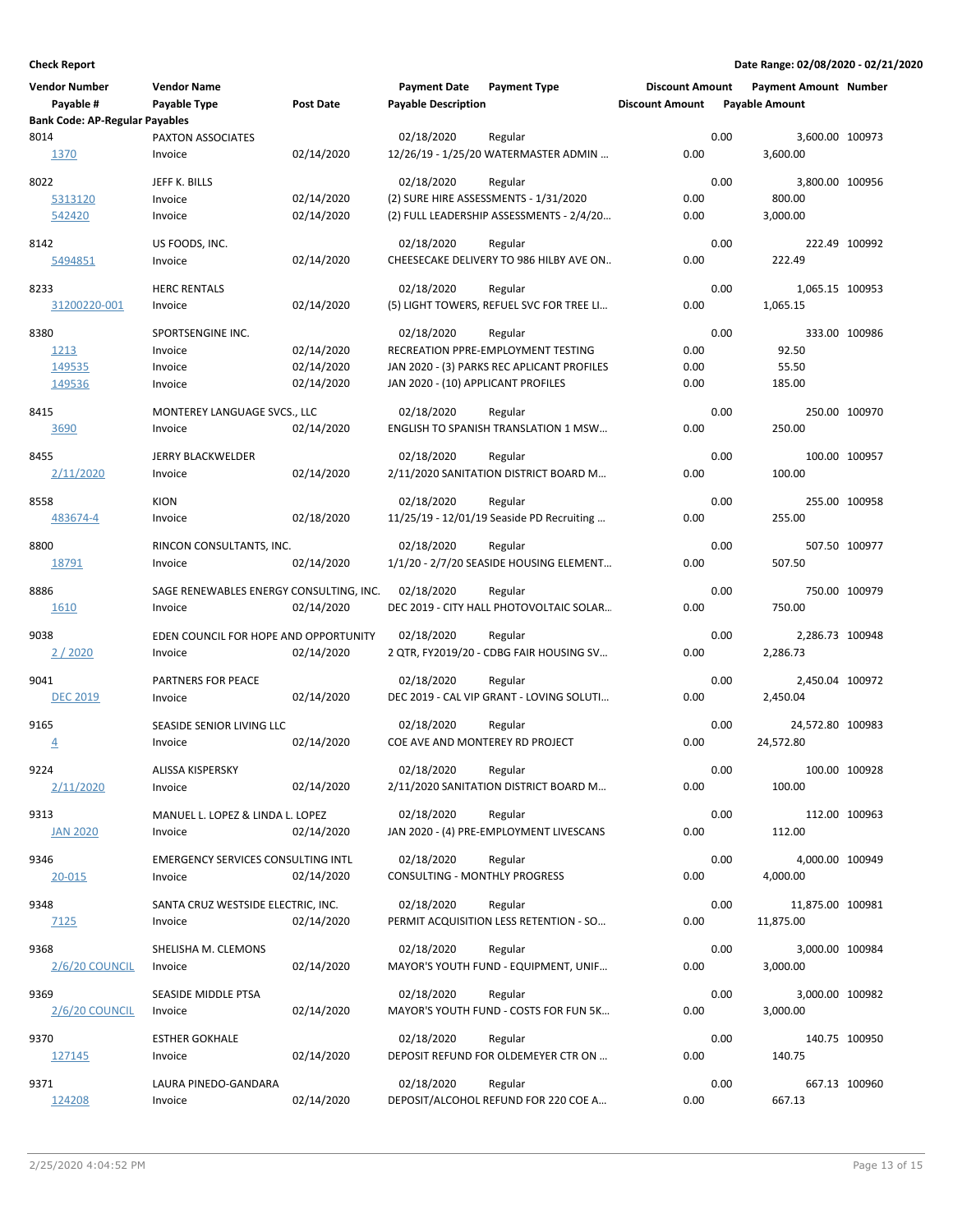| <b>Vendor Number</b><br>Payable #     | <b>Vendor Name</b><br>Payable Type                   | Post Date                              | <b>Payment Date</b><br><b>Payable Description</b>  | <b>Payment Type</b>                                                                          | <b>Discount Amount</b><br><b>Discount Amount</b> |      | <b>Payment Amount Number</b><br><b>Payable Amount</b> |               |
|---------------------------------------|------------------------------------------------------|----------------------------------------|----------------------------------------------------|----------------------------------------------------------------------------------------------|--------------------------------------------------|------|-------------------------------------------------------|---------------|
| <b>Bank Code: AP-Regular Payables</b> |                                                      |                                        |                                                    |                                                                                              |                                                  |      |                                                       |               |
| 8014<br>1370                          | PAXTON ASSOCIATES<br>Invoice                         | 02/14/2020                             | 02/18/2020                                         | Regular<br>12/26/19 - 1/25/20 WATERMASTER ADMIN                                              | 0.00                                             | 0.00 | 3,600.00 100973<br>3,600.00                           |               |
| 8022<br>5313120<br>542420             | JEFF K. BILLS<br>Invoice<br>Invoice                  | 02/14/2020<br>02/14/2020               | 02/18/2020                                         | Regular<br>(2) SURE HIRE ASSESSMENTS - 1/31/2020<br>(2) FULL LEADERSHIP ASSESSMENTS - 2/4/20 | 0.00<br>0.00                                     | 0.00 | 3,800.00 100956<br>800.00<br>3,000.00                 |               |
| 8142<br>5494851                       | US FOODS, INC.<br>Invoice                            | 02/14/2020                             | 02/18/2020                                         | Regular<br>CHEESECAKE DELIVERY TO 986 HILBY AVE ON                                           | 0.00                                             | 0.00 | 222.49                                                | 222.49 100992 |
| 8233<br>31200220-001                  | <b>HERC RENTALS</b><br>Invoice                       | 02/14/2020                             | 02/18/2020                                         | Regular<br>(5) LIGHT TOWERS, REFUEL SVC FOR TREE LI                                          | 0.00                                             | 0.00 | 1,065.15 100953<br>1,065.15                           |               |
| 8380<br>1213<br>149535<br>149536      | SPORTSENGINE INC.<br>Invoice<br>Invoice<br>Invoice   | 02/14/2020<br>02/14/2020<br>02/14/2020 | 02/18/2020<br>JAN 2020 - (10) APPLICANT PROFILES   | Regular<br>RECREATION PPRE-EMPLOYMENT TESTING<br>JAN 2020 - (3) PARKS REC APLICANT PROFILES  | 0.00<br>0.00<br>0.00                             | 0.00 | 92.50<br>55.50<br>185.00                              | 333.00 100986 |
| 8415<br>3690                          | MONTEREY LANGUAGE SVCS., LLC<br>Invoice              | 02/14/2020                             | 02/18/2020                                         | Regular<br><b>ENGLISH TO SPANISH TRANSLATION 1 MSW</b>                                       | 0.00                                             | 0.00 | 250.00                                                | 250.00 100970 |
| 8455<br>2/11/2020                     | <b>JERRY BLACKWELDER</b><br>Invoice                  | 02/14/2020                             | 02/18/2020                                         | Regular<br>2/11/2020 SANITATION DISTRICT BOARD M                                             | 0.00                                             | 0.00 | 100.00                                                | 100.00 100957 |
| 8558<br>483674-4                      | <b>KION</b><br>Invoice                               | 02/18/2020                             | 02/18/2020                                         | Regular<br>11/25/19 - 12/01/19 Seaside PD Recruiting                                         | 0.00                                             | 0.00 | 255.00                                                | 255.00 100958 |
| 8800<br>18791                         | RINCON CONSULTANTS, INC.<br>Invoice                  | 02/14/2020                             | 02/18/2020                                         | Regular<br>1/1/20 - 2/7/20 SEASIDE HOUSING ELEMENT                                           | 0.00                                             | 0.00 | 507.50                                                | 507.50 100977 |
| 8886<br>1610                          | SAGE RENEWABLES ENERGY CONSULTING, INC.<br>Invoice   | 02/14/2020                             | 02/18/2020                                         | Regular<br>DEC 2019 - CITY HALL PHOTOVOLTAIC SOLAR                                           | 0.00                                             | 0.00 | 750.00                                                | 750.00 100979 |
| 9038<br>2/2020                        | EDEN COUNCIL FOR HOPE AND OPPORTUNITY<br>Invoice     | 02/14/2020                             | 02/18/2020                                         | Regular<br>2 QTR, FY2019/20 - CDBG FAIR HOUSING SV                                           | 0.00                                             | 0.00 | 2,286.73 100948<br>2,286.73                           |               |
| 9041<br><b>DEC 2019</b>               | PARTNERS FOR PEACE<br>Invoice                        | 02/14/2020                             | 02/18/2020                                         | Regular<br>DEC 2019 - CAL VIP GRANT - LOVING SOLUTI                                          | 0.00                                             | 0.00 | 2,450.04 100972<br>2,450.04                           |               |
| 9165<br>$\overline{4}$                | SEASIDE SENIOR LIVING LLC<br>Invoice                 | 02/14/2020                             | 02/18/2020<br>COE AVE AND MONTEREY RD PROJECT      | Regular                                                                                      | 0.00                                             | 0.00 | 24,572.80 100983<br>24,572.80                         |               |
| 9224<br>2/11/2020                     | ALISSA KISPERSKY<br>Invoice                          | 02/14/2020                             | 02/18/2020                                         | Regular<br>2/11/2020 SANITATION DISTRICT BOARD M                                             | 0.00                                             | 0.00 | 100.00                                                | 100.00 100928 |
| 9313<br><b>JAN 2020</b>               | MANUEL L. LOPEZ & LINDA L. LOPEZ<br>Invoice          | 02/14/2020                             | 02/18/2020                                         | Regular<br>JAN 2020 - (4) PRE-EMPLOYMENT LIVESCANS                                           | 0.00                                             | 0.00 | 112.00                                                | 112.00 100963 |
| 9346<br>20-015                        | <b>EMERGENCY SERVICES CONSULTING INTL</b><br>Invoice | 02/14/2020                             | 02/18/2020<br><b>CONSULTING - MONTHLY PROGRESS</b> | Regular                                                                                      | 0.00                                             | 0.00 | 4,000.00 100949<br>4,000.00                           |               |
| 9348<br>7125                          | SANTA CRUZ WESTSIDE ELECTRIC, INC.<br>Invoice        | 02/14/2020                             | 02/18/2020                                         | Regular<br>PERMIT ACQUISITION LESS RETENTION - SO                                            | 0.00                                             | 0.00 | 11,875.00 100981<br>11,875.00                         |               |
| 9368<br>$2/6/20$ COUNCIL              | SHELISHA M. CLEMONS<br>Invoice                       | 02/14/2020                             | 02/18/2020                                         | Regular<br>MAYOR'S YOUTH FUND - EQUIPMENT, UNIF                                              | 0.00                                             | 0.00 | 3,000.00 100984<br>3,000.00                           |               |
| 9369<br>2/6/20 COUNCIL                | SEASIDE MIDDLE PTSA<br>Invoice                       | 02/14/2020                             | 02/18/2020                                         | Regular<br>MAYOR'S YOUTH FUND - COSTS FOR FUN 5K                                             | 0.00                                             | 0.00 | 3,000.00 100982<br>3,000.00                           |               |
| 9370<br>127145                        | <b>ESTHER GOKHALE</b><br>Invoice                     | 02/14/2020                             | 02/18/2020                                         | Regular<br>DEPOSIT REFUND FOR OLDEMEYER CTR ON                                               | 0.00                                             | 0.00 | 140.75                                                | 140.75 100950 |
| 9371<br>124208                        | LAURA PINEDO-GANDARA<br>Invoice                      | 02/14/2020                             | 02/18/2020                                         | Regular<br>DEPOSIT/ALCOHOL REFUND FOR 220 COE A                                              | 0.00                                             | 0.00 | 667.13                                                | 667.13 100960 |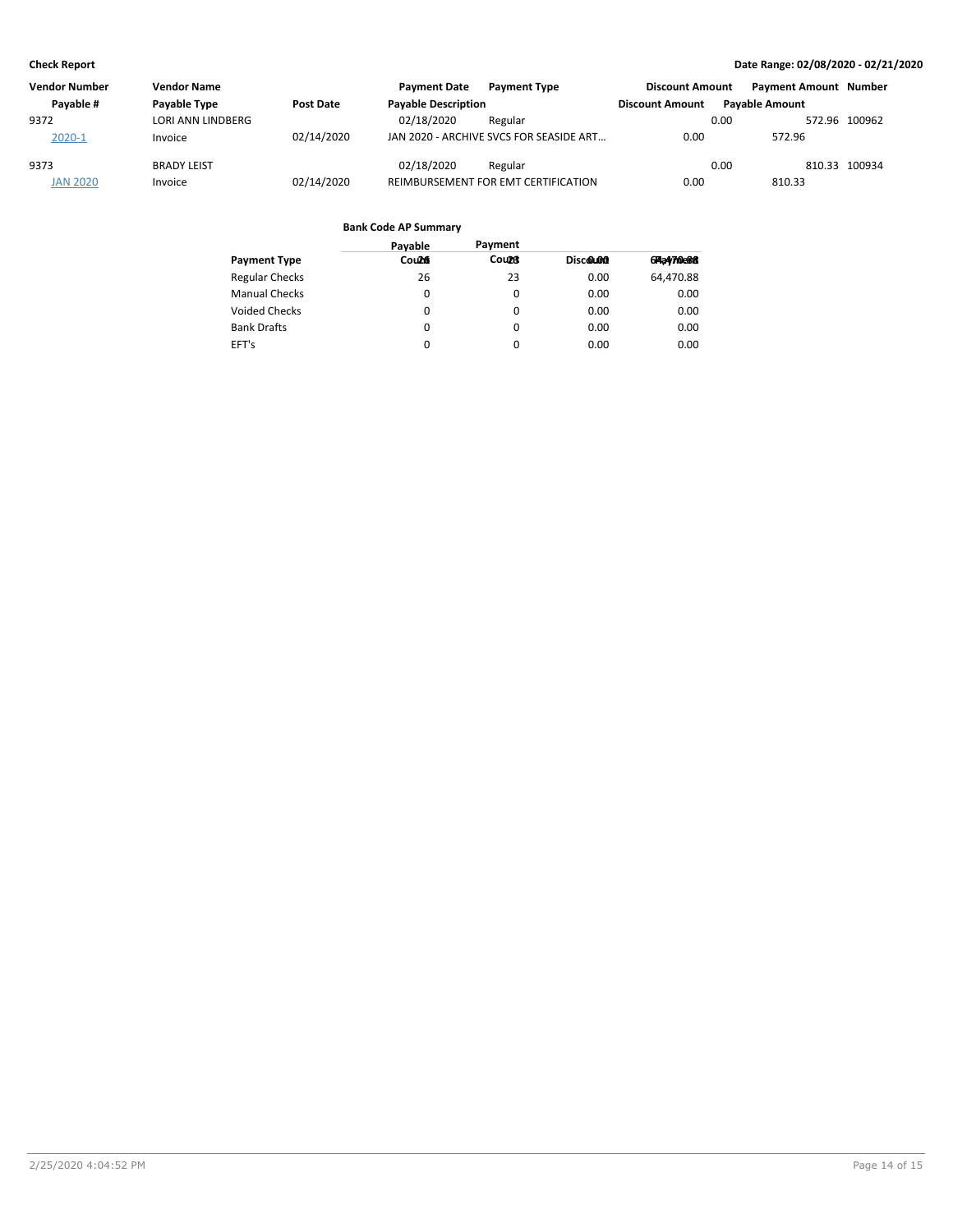| <b>Vendor Number</b> | <b>Vendor Name</b> |                  | <b>Payment Date</b>        | <b>Payment Type</b>                     | <b>Discount Amount</b> | <b>Payment Amount Number</b> |               |
|----------------------|--------------------|------------------|----------------------------|-----------------------------------------|------------------------|------------------------------|---------------|
| Payable #            | Payable Type       | <b>Post Date</b> | <b>Payable Description</b> |                                         | <b>Discount Amount</b> | <b>Pavable Amount</b>        |               |
| 9372                 | LORI ANN LINDBERG  |                  | 02/18/2020                 | Regular                                 |                        | 0.00                         | 572.96 100962 |
| $2020 - 1$           | Invoice            | 02/14/2020       |                            | JAN 2020 - ARCHIVE SVCS FOR SEASIDE ART | 0.00                   | 572.96                       |               |
| 9373                 | <b>BRADY LEIST</b> |                  | 02/18/2020                 | Regular                                 |                        | 0.00                         | 810.33 100934 |
| <b>JAN 2020</b>      | Invoice            | 02/14/2020       |                            | REIMBURSEMENT FOR EMT CERTIFICATION     | 0.00                   | 810.33                       |               |

|                       | Payable | Payment      |          |                     |
|-----------------------|---------|--------------|----------|---------------------|
| <b>Payment Type</b>   | Count   | <b>Count</b> | Discolon | 6 <b>74a4710e88</b> |
| <b>Regular Checks</b> | 26      | 23           | 0.00     | 64,470.88           |
| <b>Manual Checks</b>  | 0       | $\Omega$     | 0.00     | 0.00                |
| Voided Checks         | 0       | 0            | 0.00     | 0.00                |
| <b>Bank Drafts</b>    | 0       | $\Omega$     | 0.00     | 0.00                |
| EFT's                 | 0       | 0            | 0.00     | 0.00                |
|                       |         |              |          |                     |